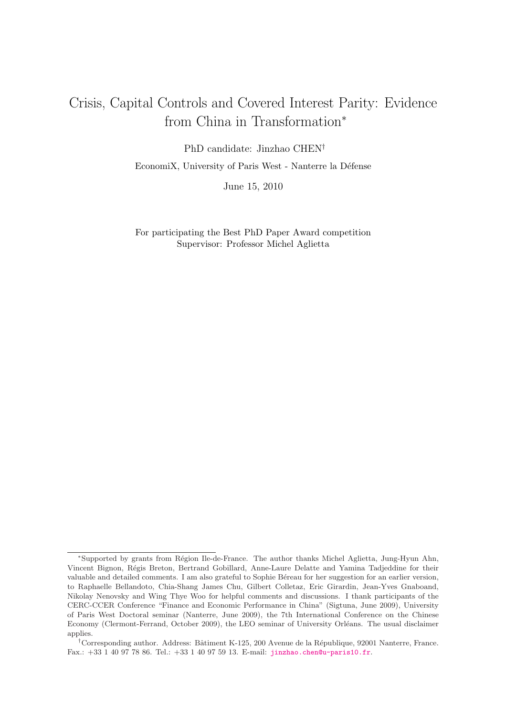# Crisis, Capital Controls and Covered Interest Parity: Evidence from China in Transformation<sup>∗</sup>

PhD candidate: Jinzhao CHEN† EconomiX, University of Paris West - Nanterre la Défense

June 15, 2010

For participating the Best PhD Paper Award competition Supervisor: Professor Michel Aglietta

<sup>∗</sup>Supported by grants from R´egion Ile-de-France. The author thanks Michel Aglietta, Jung-Hyun Ahn, Vincent Bignon, Régis Breton, Bertrand Gobillard, Anne-Laure Delatte and Yamina Tadjeddine for their valuable and detailed comments. I am also grateful to Sophie Béreau for her suggestion for an earlier version, to Raphaelle Bellandoto, Chia-Shang James Chu, Gilbert Colletaz, Eric Girardin, Jean-Yves Gnaboand, Nikolay Nenovsky and Wing Thye Woo for helpful comments and discussions. I thank participants of the CERC-CCER Conference "Finance and Economic Performance in China" (Sigtuna, June 2009), University of Paris West Doctoral seminar (Nanterre, June 2009), the 7th International Conference on the Chinese Economy (Clermont-Ferrand, October 2009), the LEO seminar of University Orléans. The usual disclaimer applies.

<sup>&</sup>lt;sup>†</sup>Corresponding author. Address: Bâtiment K-125, 200 Avenue de la République, 92001 Nanterre, France. Fax.: +33 1 40 97 78 86. Tel.: +33 1 40 97 59 13. E-mail: jinzhao.chen@u-paris10.fr.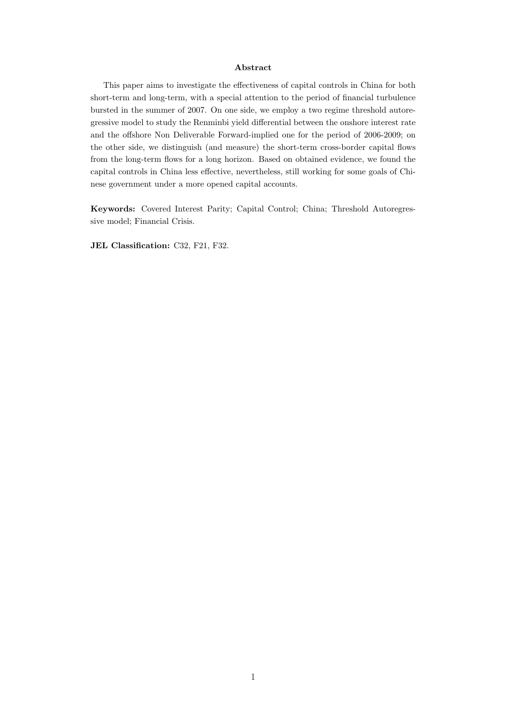#### Abstract

This paper aims to investigate the effectiveness of capital controls in China for both short-term and long-term, with a special attention to the period of financial turbulence bursted in the summer of 2007. On one side, we employ a two regime threshold autoregressive model to study the Renminbi yield differential between the onshore interest rate and the offshore Non Deliverable Forward-implied one for the period of 2006-2009; on the other side, we distinguish (and measure) the short-term cross-border capital flows from the long-term flows for a long horizon. Based on obtained evidence, we found the capital controls in China less effective, nevertheless, still working for some goals of Chinese government under a more opened capital accounts.

Keywords: Covered Interest Parity; Capital Control; China; Threshold Autoregressive model; Financial Crisis.

JEL Classification: C32, F21, F32.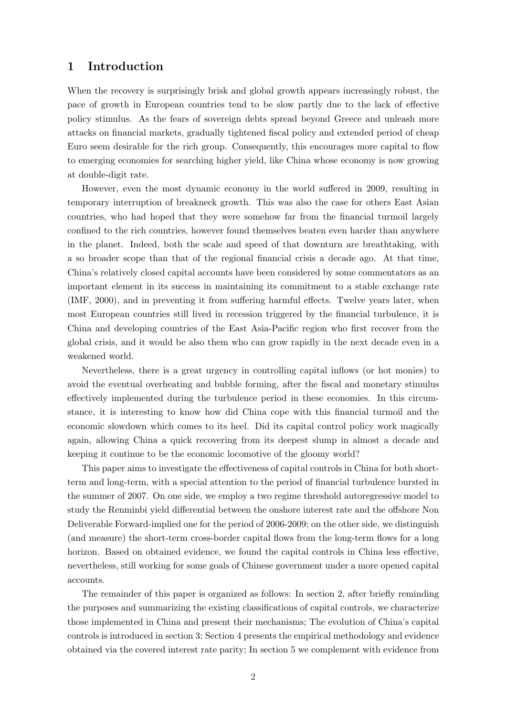### 1 Introduction

When the recovery is surprisingly brisk and global growth appears increasingly robust, the pace of growth in European countries tend to be slow partly due to the lack of effective policy stimulus. As the fears of sovereign debts spread beyond Greece and unleash more attacks on financial markets, gradually tightened fiscal policy and extended period of cheap Euro seem desirable for the rich group. Consequently, this encourages more capital to flow to emerging economies for searching higher yield, like China whose economy is now growing at double-digit rate.

However, even the most dynamic economy in the world suffered in 2009, resulting in temporary interruption of breakneck growth. This was also the case for others East Asian countries, who had hoped that they were somehow far from the financial turmoil largely confined to the rich countries, however found themselves beaten even harder than anywhere in the planet. Indeed, both the scale and speed of that downturn are breathtaking, with a so broader scope than that of the regional financial crisis a decade ago. At that time, China's relatively closed capital accounts have been considered by some commentators as an important element in its success in maintaining its commitment to a stable exchange rate (IMF, 2000), and in preventing it from suffering harmful effects. Twelve years later, when most European countries still lived in recession triggered by the financial turbulence, it is China and developing countries of the East Asia-Pacific region who first recover from the [global crisis](#page-25-0), and it would be also them who can grow rapidly in the next decade even in a weakened world.

Nevertheless, there is a great urgency in controlling capital inflows (or hot monies) to avoid the eventual overheating and bubble forming, after the fiscal and monetary stimulus effectively implemented during the turbulence period in these economies. In this circumstance, it is interesting to know how did China cope with this financial turmoil and the economic slowdown which comes to its heel. Did its capital control policy work magically again, allowing China a quick recovering from its deepest slump in almost a decade and keeping it continue to be the economic locomotive of the gloomy world?

This paper aims to investigate the effectiveness of capital controls in China for both shortterm and long-term, with a special attention to the period of financial turbulence bursted in the summer of 2007. On one side, we employ a two regime threshold autoregressive model to study the Renminbi yield differential between the onshore interest rate and the offshore Non Deliverable Forward-implied one for the period of 2006-2009; on the other side, we distinguish (and measure) the short-term cross-border capital flows from the long-term flows for a long horizon. Based on obtained evidence, we found the capital controls in China less effective, nevertheless, still working for some goals of Chinese government under a more opened capital accounts.

The remainder of this paper is organized as follows: In section 2, after briefly reminding the purposes and summarizing the existing classifications of capital controls, we characterize those implemented in China and present their mechanisms; The evolution of China's capital controls is introduced in section 3; Section 4 presents the empirical methodology and evidence obtained via the covered interest rate parity; In section 5 we complement with evidence from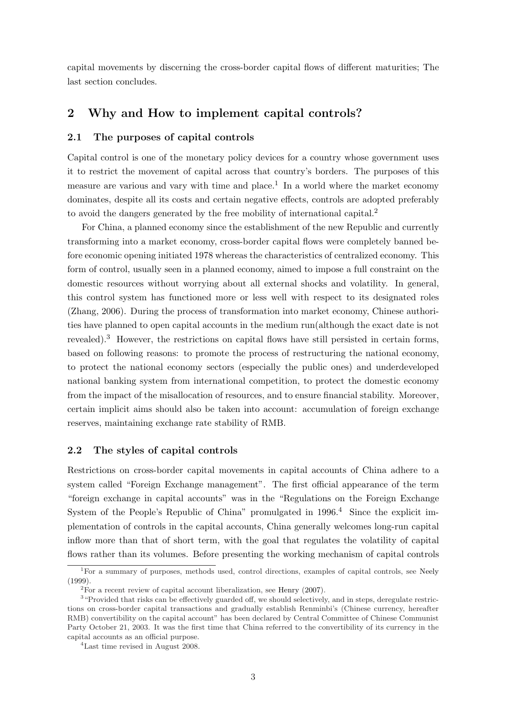capital movements by discerning the cross-border capital flows of different maturities; The last section concludes.

### 2 Why and How to implement capital controls?

#### 2.1 The purposes of capital controls

Capital control is one of the monetary policy devices for a country whose government uses it to restrict the movement of capital across that country's borders. The purposes of this measure are various and vary with time and place.<sup>1</sup> In a world where the market economy dominates, despite all its costs and certain negative effects, controls are adopted preferably to avoid the dangers generated by the free mobility of international capital.<sup>2</sup>

For China, a planned economy since the establishment of the new Republic and currently transforming into a market economy, cross-border capital flows were completely banned before economic opening initiated 1978 whereas the characteristics of centralized economy. This form of control, usually seen in a planned economy, aimed to impose a full constraint on the domestic resources without worrying about all external shocks and volatility. In general, this control system has functioned more or less well with respect to its designated roles (Zhang, 2006). During the process of transformation into market economy, Chinese authorities have planned to open capital accounts in the medium run(although the exact date is not revealed).<sup>3</sup> However, the restrictions on capital flows have still persisted in certain forms, [based on follo](#page-27-0)wing reasons: to promote the process of restructuring the national economy, to protect the national economy sectors (especially the public ones) and underdeveloped national banking system from international competition, to protect the domestic economy from the impact of the misallocation of resources, and to ensure financial stability. Moreover, certain implicit aims should also be taken into account: accumulation of foreign exchange reserves, maintaining exchange rate stability of RMB.

#### 2.2 The styles of capital controls

Restrictions on cross-border capital movements in capital accounts of China adhere to a system called "Foreign Exchange management". The first official appearance of the term "foreign exchange in capital accounts" was in the "Regulations on the Foreign Exchange System of the People's Republic of China" promulgated in  $1996<sup>4</sup>$  Since the explicit implementation of controls in the capital accounts, China generally welcomes long-run capital inflow more than that of short term, with the goal that regulates the volatility of capital flows rather than its volumes. Before presenting the working mechanism of capital controls

<sup>&</sup>lt;sup>1</sup>For a summary of purposes, methods used, control directions, examples of capital controls, see Neely (1999).

 $2^{2}$  For a recent review of capital account liberalization, see Henry (2007).

<sup>&</sup>lt;sup>3</sup> "Provided that risks can be effectively guarded off, we should selectively, and in steps, deregulate restrictions on cross-border capital transactions and gradually establish Renminbi's (Chinese currency, hereafter RMB) convertibility on the capital account" has been declared by Central Committee of Chinese Com[munist](#page-26-0) [Party](#page-26-0) October 21, 2003. It was the first time that China ref[erred to the c](#page-25-1)onvertibility of its currency in the capital accounts as an official purpose.

<sup>4</sup>Last time revised in August 2008.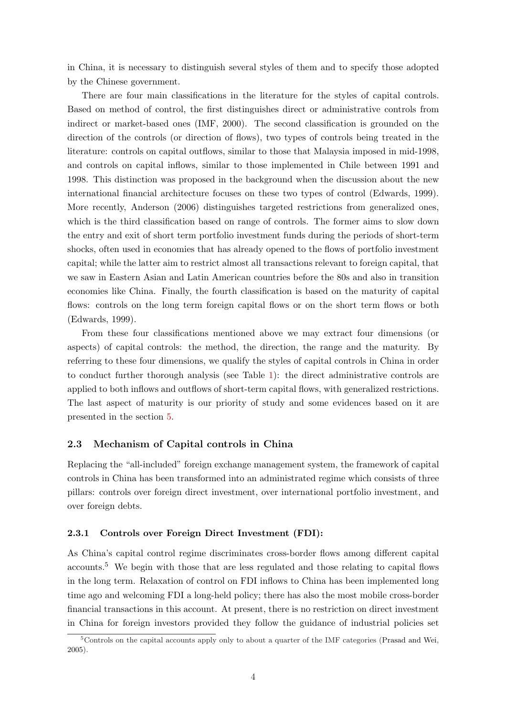in China, it is necessary to distinguish several styles of them and to specify those adopted by the Chinese government.

There are four main classifications in the literature for the styles of capital controls. Based on method of control, the first distinguishes direct or administrative controls from indirect or market-based ones (IMF, 2000). The second classification is grounded on the direction of the controls (or direction of flows), two types of controls being treated in the literature: controls on capital outflows, similar to those that Malaysia imposed in mid-1998, and controls on capital inflows[, simi](#page-25-0)l[ar to](#page-25-0) those implemented in Chile between 1991 and 1998. This distinction was proposed in the background when the discussion about the new international financial architecture focuses on these two types of control (Edwards, 1999). More recently, Anderson (2006) distinguishes targeted restrictions from generalized ones, which is the third classification based on range of controls. The former aims to slow down the entry and exit of short term portfolio investment funds during the peri[ods of sho](#page-24-0)r[t-term](#page-24-0) shocks, often u[sed in economies](#page-24-1) that has already opened to the flows of portfolio investment capital; while the latter aim to restrict almost all transactions relevant to foreign capital, that we saw in Eastern Asian and Latin American countries before the 80s and also in transition economies like China. Finally, the fourth classification is based on the maturity of capital flows: controls on the long term foreign capital flows or on the short term flows or both (Edwards, 1999).

From these four classifications mentioned above we may extract four dimensions (or aspects) of capital controls: the method, the direction, the range and the maturity. By [referring to thes](#page-24-0)e four dimensions, we qualify the styles of capital controls in China in order to conduct further thorough analysis (see Table 1): the direct administrative controls are applied to both inflows and outflows of short-term capital flows, with generalized restrictions. The last aspect of maturity is our priority of study and some evidences based on it are presented in the section 5.

#### 2.3 Mechanism of Capital controls in China

Replacing the "all-inclu[ded](#page-19-0)" foreign exchange management system, the framework of capital controls in China has been transformed into an administrated regime which consists of three pillars: controls over foreign direct investment, over international portfolio investment, and over foreign debts.

#### 2.3.1 Controls over Foreign Direct Investment (FDI):

As China's capital control regime discriminates cross-border flows among different capital accounts.<sup>5</sup> We begin with those that are less regulated and those relating to capital flows in the long term. Relaxation of control on FDI inflows to China has been implemented long time ago and welcoming FDI a long-held policy; there has also the most mobile cross-border financial transactions in this account. At present, there is no restriction on direct investment in China for foreign investors provided they follow the guidance of industrial policies set

<sup>&</sup>lt;sup>5</sup>Controls on the capital accounts apply only to about a quarter of the IMF categories (Prasad and Wei, 2005).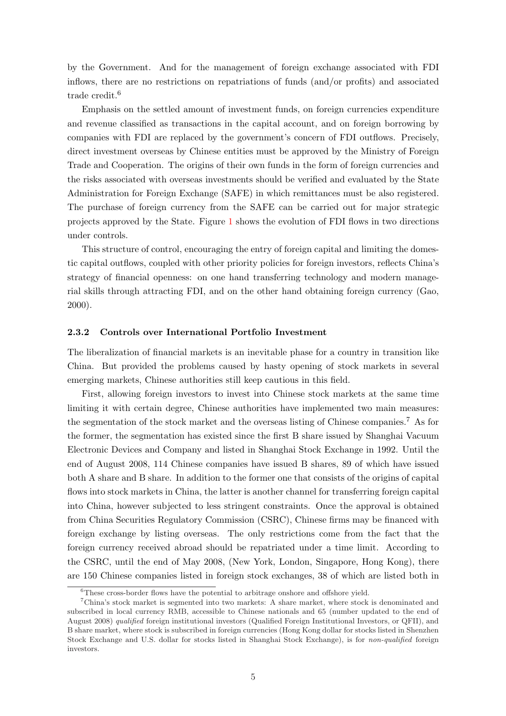by the Government. And for the management of foreign exchange associated with FDI inflows, there are no restrictions on repatriations of funds (and/or profits) and associated trade credit.<sup>6</sup>

Emphasis on the settled amount of investment funds, on foreign currencies expenditure and revenue classified as transactions in the capital account, and on foreign borrowing by companies with FDI are replaced by the government's concern of FDI outflows. Precisely, direct investment overseas by Chinese entities must be approved by the Ministry of Foreign Trade and Cooperation. The origins of their own funds in the form of foreign currencies and the risks associated with overseas investments should be verified and evaluated by the State Administration for Foreign Exchange (SAFE) in which remittances must be also registered. The purchase of foreign currency from the SAFE can be carried out for major strategic projects approved by the State. Figure 1 shows the evolution of FDI flows in two directions under controls.

This structure of control, encouraging the entry of foreign capital and limiting the domestic capital outflows, coupled with other [pr](#page-28-0)iority policies for foreign investors, reflects China's strategy of financial openness: on one hand transferring technology and modern managerial skills through attracting FDI, and on the other hand obtaining foreign currency (Gao, 2000).

#### 2.3.2 Controls over International Portfolio Investment

[The l](#page-25-2)iberalization of financial markets is an inevitable phase for a country in transition like China. But provided the problems caused by hasty opening of stock markets in several emerging markets, Chinese authorities still keep cautious in this field.

First, allowing foreign investors to invest into Chinese stock markets at the same time limiting it with certain degree, Chinese authorities have implemented two main measures: the segmentation of the stock market and the overseas listing of Chinese companies.<sup>7</sup> As for the former, the segmentation has existed since the first B share issued by Shanghai Vacuum Electronic Devices and Company and listed in Shanghai Stock Exchange in 1992. Until the end of August 2008, 114 Chinese companies have issued B shares, 89 of which have issued both A share and B share. In addition to the former one that consists of the origins of capital flows into stock markets in China, the latter is another channel for transferring foreign capital into China, however subjected to less stringent constraints. Once the approval is obtained from China Securities Regulatory Commission (CSRC), Chinese firms may be financed with foreign exchange by listing overseas. The only restrictions come from the fact that the foreign currency received abroad should be repatriated under a time limit. According to the CSRC, until the end of May 2008, (New York, London, Singapore, Hong Kong), there are 150 Chinese companies listed in foreign stock exchanges, 38 of which are listed both in

<sup>&</sup>lt;sup>6</sup>These cross-border flows have the potential to arbitrage onshore and offshore yield.

<sup>7</sup>China's stock market is segmented into two markets: A share market, where stock is denominated and subscribed in local currency RMB, accessible to Chinese nationals and 65 (number updated to the end of August 2008) qualified foreign institutional investors (Qualified Foreign Institutional Investors, or QFII), and B share market, where stock is subscribed in foreign currencies (Hong Kong dollar for stocks listed in Shenzhen Stock Exchange and U.S. dollar for stocks listed in Shanghai Stock Exchange), is for non-qualified foreign investors.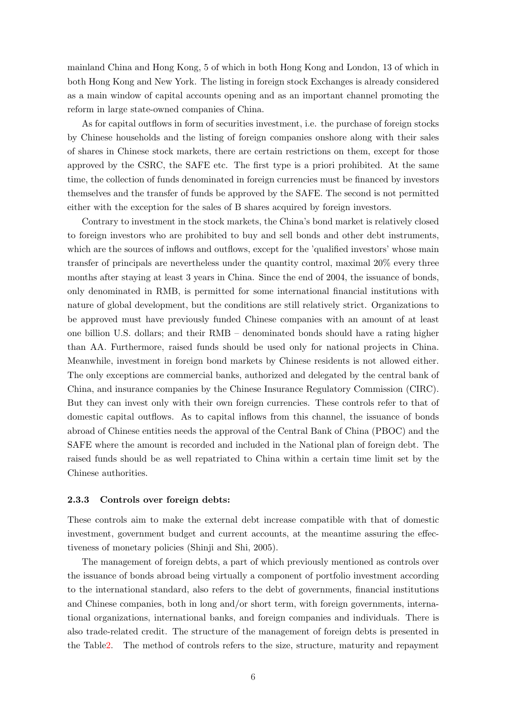mainland China and Hong Kong, 5 of which in both Hong Kong and London, 13 of which in both Hong Kong and New York. The listing in foreign stock Exchanges is already considered as a main window of capital accounts opening and as an important channel promoting the reform in large state-owned companies of China.

As for capital outflows in form of securities investment, i.e. the purchase of foreign stocks by Chinese households and the listing of foreign companies onshore along with their sales of shares in Chinese stock markets, there are certain restrictions on them, except for those approved by the CSRC, the SAFE etc. The first type is a priori prohibited. At the same time, the collection of funds denominated in foreign currencies must be financed by investors themselves and the transfer of funds be approved by the SAFE. The second is not permitted either with the exception for the sales of B shares acquired by foreign investors.

Contrary to investment in the stock markets, the China's bond market is relatively closed to foreign investors who are prohibited to buy and sell bonds and other debt instruments, which are the sources of inflows and outflows, except for the 'qualified investors' whose main transfer of principals are nevertheless under the quantity control, maximal 20% every three months after staying at least 3 years in China. Since the end of 2004, the issuance of bonds, only denominated in RMB, is permitted for some international financial institutions with nature of global development, but the conditions are still relatively strict. Organizations to be approved must have previously funded Chinese companies with an amount of at least one billion U.S. dollars; and their RMB – denominated bonds should have a rating higher than AA. Furthermore, raised funds should be used only for national projects in China. Meanwhile, investment in foreign bond markets by Chinese residents is not allowed either. The only exceptions are commercial banks, authorized and delegated by the central bank of China, and insurance companies by the Chinese Insurance Regulatory Commission (CIRC). But they can invest only with their own foreign currencies. These controls refer to that of domestic capital outflows. As to capital inflows from this channel, the issuance of bonds abroad of Chinese entities needs the approval of the Central Bank of China (PBOC) and the SAFE where the amount is recorded and included in the National plan of foreign debt. The raised funds should be as well repatriated to China within a certain time limit set by the Chinese authorities.

#### 2.3.3 Controls over foreign debts:

These controls aim to make the external debt increase compatible with that of domestic investment, government budget and current accounts, at the meantime assuring the effectiveness of monetary policies (Shinji and Shi, 2005).

The management of foreign debts, a part of which previously mentioned as controls over the issuance of bonds abroad being virtually a component of portfolio investment according to the international standard, [also refers to](#page-26-1) [the de](#page-26-1)bt of governments, financial institutions and Chinese companies, both in long and/or short term, with foreign governments, international organizations, international banks, and foreign companies and individuals. There is also trade-related credit. The structure of the management of foreign debts is presented in the Table2. The method of controls refers to the size, structure, maturity and repayment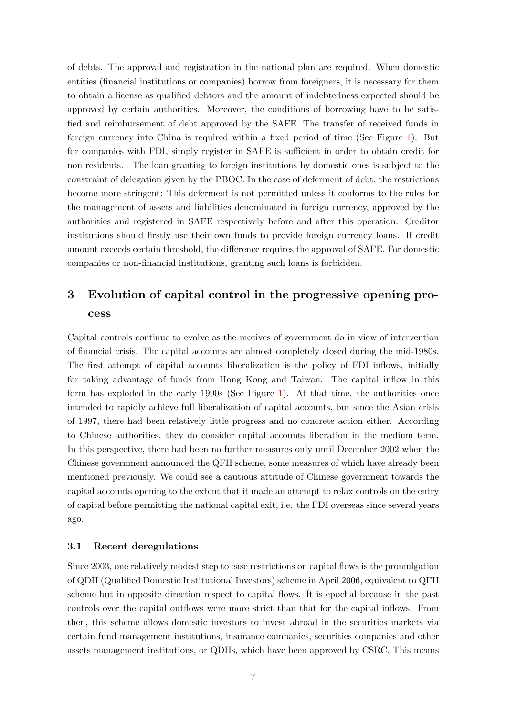of debts. The approval and registration in the national plan are required. When domestic entities (financial institutions or companies) borrow from foreigners, it is necessary for them to obtain a license as qualified debtors and the amount of indebtedness expected should be approved by certain authorities. Moreover, the conditions of borrowing have to be satisfied and reimbursement of debt approved by the SAFE. The transfer of received funds in foreign currency into China is required within a fixed period of time (See Figure 1). But for companies with FDI, simply register in SAFE is sufficient in order to obtain credit for non residents. The loan granting to foreign institutions by domestic ones is subject to the constraint of delegation given by the PBOC. In the case of deferment of debt, the res[tr](#page-28-0)ictions become more stringent: This deferment is not permitted unless it conforms to the rules for the management of assets and liabilities denominated in foreign currency, approved by the authorities and registered in SAFE respectively before and after this operation. Creditor institutions should firstly use their own funds to provide foreign currency loans. If credit amount exceeds certain threshold, the difference requires the approval of SAFE. For domestic companies or non-financial institutions, granting such loans is forbidden.

## 3 Evolution of capital control in the progressive opening process

Capital controls continue to evolve as the motives of government do in view of intervention of financial crisis. The capital accounts are almost completely closed during the mid-1980s. The first attempt of capital accounts liberalization is the policy of FDI inflows, initially for taking advantage of funds from Hong Kong and Taiwan. The capital inflow in this form has exploded in the early 1990s (See Figure 1). At that time, the authorities once intended to rapidly achieve full liberalization of capital accounts, but since the Asian crisis of 1997, there had been relatively little progress and no concrete action either. According to Chinese authorities, they do consider capital a[cco](#page-28-0)unts liberation in the medium term. In this perspective, there had been no further measures only until December 2002 when the Chinese government announced the QFII scheme, some measures of which have already been mentioned previously. We could see a cautious attitude of Chinese government towards the capital accounts opening to the extent that it made an attempt to relax controls on the entry of capital before permitting the national capital exit, i.e. the FDI overseas since several years ago.

#### 3.1 Recent deregulations

Since 2003, one relatively modest step to ease restrictions on capital flows is the promulgation of QDII (Qualified Domestic Institutional Investors) scheme in April 2006, equivalent to QFII scheme but in opposite direction respect to capital flows. It is epochal because in the past controls over the capital outflows were more strict than that for the capital inflows. From then, this scheme allows domestic investors to invest abroad in the securities markets via certain fund management institutions, insurance companies, securities companies and other assets management institutions, or QDIIs, which have been approved by CSRC. This means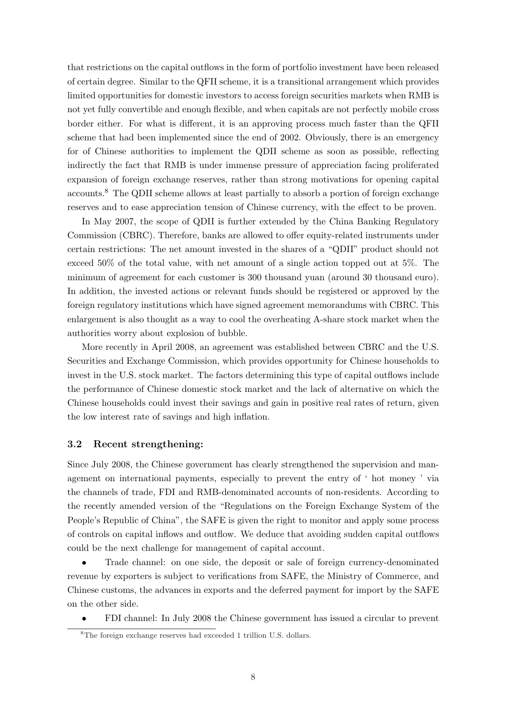that restrictions on the capital outflows in the form of portfolio investment have been released of certain degree. Similar to the QFII scheme, it is a transitional arrangement which provides limited opportunities for domestic investors to access foreign securities markets when RMB is not yet fully convertible and enough flexible, and when capitals are not perfectly mobile cross border either. For what is different, it is an approving process much faster than the QFII scheme that had been implemented since the end of 2002. Obviously, there is an emergency for of Chinese authorities to implement the QDII scheme as soon as possible, reflecting indirectly the fact that RMB is under immense pressure of appreciation facing proliferated expansion of foreign exchange reserves, rather than strong motivations for opening capital accounts.<sup>8</sup> The QDII scheme allows at least partially to absorb a portion of foreign exchange reserves and to ease appreciation tension of Chinese currency, with the effect to be proven.

In May 2007, the scope of QDII is further extended by the China Banking Regulatory Commission (CBRC). Therefore, banks are allowed to offer equity-related instruments under certain restrictions: The net amount invested in the shares of a "QDII" product should not exceed 50% of the total value, with net amount of a single action topped out at 5%. The minimum of agreement for each customer is 300 thousand yuan (around 30 thousand euro). In addition, the invested actions or relevant funds should be registered or approved by the foreign regulatory institutions which have signed agreement memorandums with CBRC. This enlargement is also thought as a way to cool the overheating A-share stock market when the authorities worry about explosion of bubble.

More recently in April 2008, an agreement was established between CBRC and the U.S. Securities and Exchange Commission, which provides opportunity for Chinese households to invest in the U.S. stock market. The factors determining this type of capital outflows include the performance of Chinese domestic stock market and the lack of alternative on which the Chinese households could invest their savings and gain in positive real rates of return, given the low interest rate of savings and high inflation.

#### 3.2 Recent strengthening:

Since July 2008, the Chinese government has clearly strengthened the supervision and management on international payments, especially to prevent the entry of ' hot money ' via the channels of trade, FDI and RMB-denominated accounts of non-residents. According to the recently amended version of the "Regulations on the Foreign Exchange System of the People's Republic of China", the SAFE is given the right to monitor and apply some process of controls on capital inflows and outflow. We deduce that avoiding sudden capital outflows could be the next challenge for management of capital account.

• Trade channel: on one side, the deposit or sale of foreign currency-denominated revenue by exporters is subject to verifications from SAFE, the Ministry of Commerce, and Chinese customs, the advances in exports and the deferred payment for import by the SAFE on the other side.

• FDI channel: In July 2008 the Chinese government has issued a circular to prevent

<sup>8</sup>The foreign exchange reserves had exceeded 1 trillion U.S. dollars.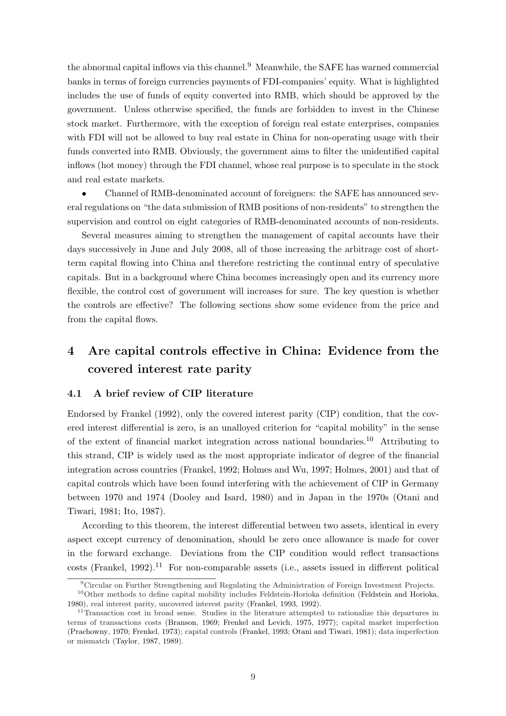the abnormal capital inflows via this channel.<sup>9</sup> Meanwhile, the SAFE has warned commercial banks in terms of foreign currencies payments of FDI-companies' equity. What is highlighted includes the use of funds of equity converted into RMB, which should be approved by the government. Unless otherwise specified, the funds are forbidden to invest in the Chinese stock market. Furthermore, with the exception of foreign real estate enterprises, companies with FDI will not be allowed to buy real estate in China for non-operating usage with their funds converted into RMB. Obviously, the government aims to filter the unidentified capital inflows (hot money) through the FDI channel, whose real purpose is to speculate in the stock and real estate markets.

• Channel of RMB-denominated account of foreigners: the SAFE has announced several regulations on "the data submission of RMB positions of non-residents" to strengthen the supervision and control on eight categories of RMB-denominated accounts of non-residents.

Several measures aiming to strengthen the management of capital accounts have their days successively in June and July 2008, all of those increasing the arbitrage cost of shortterm capital flowing into China and therefore restricting the continual entry of speculative capitals. But in a background where China becomes increasingly open and its currency more flexible, the control cost of government will increases for sure. The key question is whether the controls are effective? The following sections show some evidence from the price and from the capital flows.

## 4 Are capital controls effective in China: Evidence from the covered interest rate parity

#### 4.1 A brief review of CIP literature

Endorsed by Frankel (1992), only the covered interest parity (CIP) condition, that the covered interest differential is zero, is an unalloyed criterion for "capital mobility" in the sense of the extent of financial market integration across national boundaries.<sup>10</sup> Attributing to this strand, [CIP is w](#page-25-3)i[dely u](#page-25-3)sed as the most appropriate indicator of degree of the financial integration across countries (Frankel, 1992; Holmes and Wu, 1997; Holmes, 2001) and that of capital controls which have been found interfering with the achievement of CIP in Germany between 1970 and 1974 (Dooley and Isard, 1980) and in Japan in the 1970s (Otani and Tiwari, 1981; Ito, 1987).

According to this theorem, the interest differential between two assets, identical in every aspect except currency o[f denomination, should b](#page-24-2)e zero once allowance is mad[e for cover](#page-26-2) [in the](#page-26-2) [forwa](#page-26-2)r[d exchang](#page-25-4)e. Deviations from the CIP condition would reflect transactions  $costs$  (Frankel, 1992).<sup>11</sup> For non-comparable assets (i.e., assets issued in different political

<sup>9</sup>Circular on Further Strengthening and Regulating the Administration of Foreign Investment Projects.

<sup>&</sup>lt;sup>10</sup>Other methods to define capital mobility includes Feldstein-Horioka definition (Feldstein and Horioka, 1980), real interest parity, uncovered interest parity (Frankel, 1993, 1992).

<sup>&</sup>lt;sup>11</sup>Tr[ansaction](#page-25-3) [cost in](#page-25-3) broad sense. Studies in the literature attempted to rationalize this departures in terms of transactions costs (Branson, 1969; Frenkel and Levich, 1975, 1977); capital market imperfection (Prachowny, 1970; Frenkel, 1973); capital controls (Frankel, 1993; Otani and Tiwari, 1[981\); data imperfection](#page-24-3) [or mi](#page-24-3)smatch (Taylor, 1987, 1989).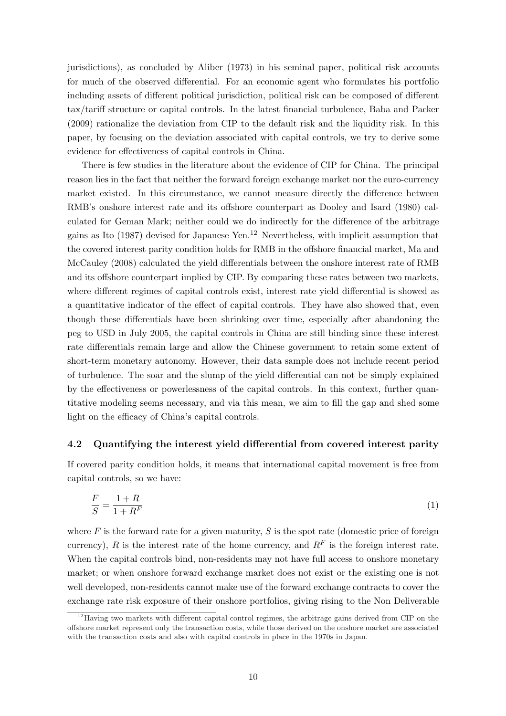jurisdictions), as concluded by Aliber (1973) in his seminal paper, political risk accounts for much of the observed differential. For an economic agent who formulates his portfolio including assets of different political jurisdiction, political risk can be composed of different tax/tariff structure or capital c[ontrols. In th](#page-24-5)e latest financial turbulence, Baba and Packer (2009) rationalize the deviation from CIP to the default risk and the liquidity risk. In this paper, by focusing on the deviation associated with capital controls, we try to derive some evidence for effectiveness of capital controls in China.

[Th](#page-24-6)ere is few studies in the literature about the evidence of CIP for China. The principal reason lies in the fact that neither the forward foreign exchange market nor the euro-currency market existed. In this circumstance, we cannot measure directly the difference between RMB's onshore interest rate and its offshore counterpart as Dooley and Isard (1980) calculated for Geman Mark; neither could we do indirectly for the difference of the arbitrage gains as Ito  $(1987)$  devised for Japanese Yen.<sup>12</sup> Nevertheless, with implicit assumption that the covered interest parity condition holds for RMB in the offs[hore financial mark](#page-24-2)et, [Ma](#page-24-2) and McCauley (2008) calculated the yield differentials between the onshore interest rate of RMB and its [offshore cou](#page-25-4)nterpart implied by CIP. By comparing these rates between two markets, where different regimes of capital controls exist, interest rate yield differential is sh[owed as](#page-26-3) [a quantita](#page-26-3)t[ive in](#page-26-3)dicator of the effect of capital controls. They have also showed that, even though these differentials have been shrinking over time, especially after abandoning the peg to USD in July 2005, the capital controls in China are still binding since these interest rate differentials remain large and allow the Chinese government to retain some extent of short-term monetary autonomy. However, their data sample does not include recent period of turbulence. The soar and the slump of the yield differential can not be simply explained by the effectiveness or powerlessness of the capital controls. In this context, further quantitative modeling seems necessary, and via this mean, we aim to fill the gap and shed some light on the efficacy of China's capital controls.

#### 4.2 Quantifying the interest yield differential from covered interest parity

If covered parity condition holds, it means that international capital movement is free from capital controls, so we have:

$$
\frac{F}{S} = \frac{1+R}{1+R^F} \tag{1}
$$

where  $F$  is the forward rate for a given maturity,  $S$  is the spot rate (domestic price of foreign currency), R is the interest rate of the home currency, and  $R<sup>F</sup>$  is the foreign interest rate. When the capital controls bind, non-residents may not have full access to onshore monetary market; or when onshore forward exchange market does not exist or the existing one is not well developed, non-residents cannot make use of the forward exchange contracts to cover the exchange rate risk exposure of their onshore portfolios, giving rising to the Non Deliverable

 $12$ Having two markets with different capital control regimes, the arbitrage gains derived from CIP on the offshore market represent only the transaction costs, while those derived on the onshore market are associated with the transaction costs and also with capital controls in place in the 1970s in Japan.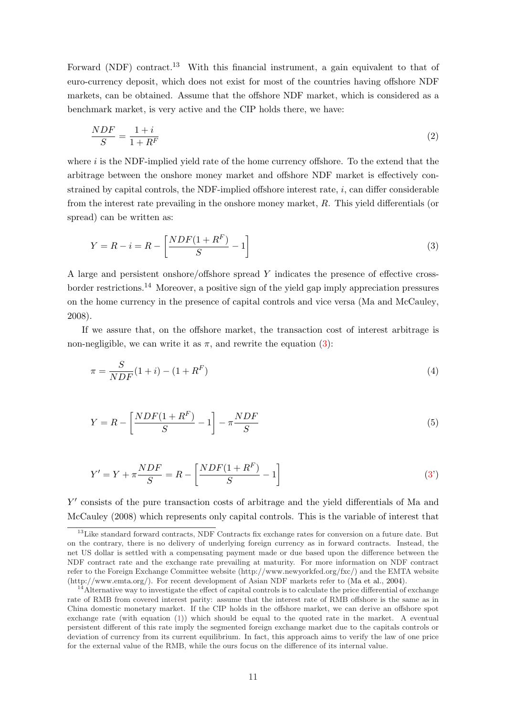Forward (NDF) contract.<sup>13</sup> With this financial instrument, a gain equivalent to that of euro-currency deposit, which does not exist for most of the countries having offshore NDF markets, can be obtained. Assume that the offshore NDF market, which is considered as a benchmark market, is very active and the CIP holds there, we have:

$$
\frac{NDF}{S} = \frac{1+i}{1+R^F} \tag{2}
$$

where  $i$  is the NDF-implied yield rate of the home currency offshore. To the extend that the arbitrage between the onshore money market and offshore NDF market is effectively constrained by capital controls, the NDF-implied offshore interest rate,  $i$ , can differ considerable from the interest rate prevailing in the onshore money market, R. This yield differentials (or spread) can be written as:

<span id="page-11-0"></span>
$$
Y = R - i = R - \left[\frac{NDF(1 + R^F)}{S} - 1\right]
$$
\n
$$
(3)
$$

A large and persistent onshore/offshore spread Y indicates the presence of effective crossborder restrictions.<sup>14</sup> Moreover, a positive sign of the yield gap imply appreciation pressures on the home currency in the presence of capital controls and vice versa (Ma and McCauley, 2008).

If we assure that, on the offshore market, the transaction cost of interest arbitrage is non-negligible, we can write it as  $\pi$ , and rewrite the equation (3):

$$
\pi = \frac{S}{NDF}(1+i) - (1 + R^{F})
$$
\n(4)

$$
Y = R - \left[\frac{NDF(1 + R^F)}{S} - 1\right] - \pi \frac{NDF}{S} \tag{5}
$$

<span id="page-11-1"></span>
$$
Y' = Y + \pi \frac{NDF}{S} = R - \left[ \frac{NDF(1 + R^F)}{S} - 1 \right]
$$
\n(3')

Y' consists of the pure transaction costs of arbitrage and the yield differentials of Ma and McCauley (2008) which represents only capital controls. This is the variable of interest t[ha](#page-11-0)t

 $13$ Like standard forward contracts, NDF Contracts fix exchange rates for conversion on a future date. But on the contrary, there is no delivery of underlying foreign currency as in forward contracts. In[stead, the](#page-26-3) net US dollar is settled with a compensating payment made or due based upon the difference between the [NDF contra](#page-26-3)c[t rate](#page-26-3) and the exchange rate prevailing at maturity. For more information on NDF contract refer to the Foreign Exchange Committee website (http://www.newyorkfed.org/fxc/) and the EMTA website (http://www.emta.org/). For recent development of Asian NDF markets refer to (Ma et al., 2004).

 $14$ Alternative way to investigate the effect of capital controls is to calculate the price differential of exchange rate of RMB from covered interest parity: assume that the interest rate of RMB offshore is the same as in China domestic monetary market. If the CIP holds in the offshore market, we can derive an offshore spot exchange rate (with equation (1)) which should be equal to the quoted rate in the market. A eventual persistent different of this rate imply the segmented foreign exchange market due [to the capitals c](#page-26-4)ontrols or deviation of currency from its current equilibrium. In fact, this approach aims to verify the law of one price for the external value of the RMB, while the ours focus on the difference of its internal value.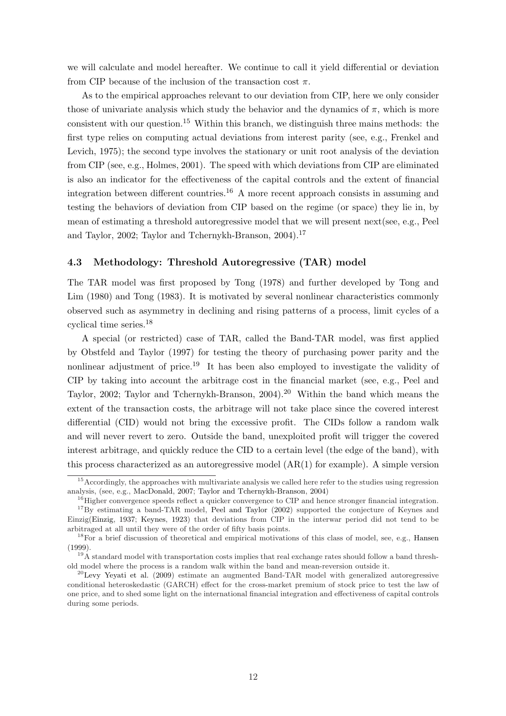we will calculate and model hereafter. We continue to call it yield differential or deviation from CIP because of the inclusion of the transaction cost  $\pi$ .

As to the empirical approaches relevant to our deviation from CIP, here we only consider those of univariate analysis which study the behavior and the dynamics of  $\pi$ , which is more consistent with our question.<sup>15</sup> Within this branch, we distinguish three mains methods: the first type relies on computing actual deviations from interest parity (see, e.g., Frenkel and Levich, 1975); the second type involves the stationary or unit root analysis of the deviation from CIP (see, e.g., Holmes, 2001). The speed with which deviations from CIP are eliminated is also an indicator for the effectiveness of the capital controls and the extent [of financial](#page-25-5) [integration b](#page-25-5)etween different countries.<sup>16</sup> A more recent approach consists in assuming and testing the behavi[ors of deviation](#page-25-6) from CIP based on the regime (or space) they lie in, by mean of estimating a threshold autoregressive model that we will present next(see, e.g., Peel and Taylor, 2002; Taylor and Tchernykh-Branson, 2004).<sup>17</sup>

#### 4.3 Methodology: Threshold Autoregressive (TAR) model

[The TAR model](#page-26-5) [was first proposed by](#page-26-6) Tong (19[78\) a](#page-26-6)nd further developed by Tong and Lim (1980) and Tong (1983). It is motivated by several nonlinear characteristics commonly observed such as asymmetry in declining and rising patterns of a process, limit cycles of a cyclical time series.<sup>18</sup>

[A spec](#page-27-1)ial (o[r rest](#page-27-2)r[icted\)](#page-27-2) case of TAR, called the Band-TAR model, was first applied by Obstfeld and Taylor (1997) for testing the theory of purchasing power parity and the nonlinear adjustment of price.<sup>19</sup> It has been also employed to investigate the validity of CIP by taking into account the arbitrage cost in the financial market (see, e.g., Peel and Taylor, 2002; [Taylor and Tche](#page-26-7)rnykh-Branson, 2004).<sup>20</sup> Within the band which means the extent of the transaction costs, the arbitrage will not take place since the covered interest differential (CID) would not bring the excessive profit. The CIDs follow a ran[dom walk](#page-26-5) [and wi](#page-26-5)l[l neve](#page-26-5)[r revert to zero. Outside the band, un](#page-26-6)exploited profit will trigger the covered interest arbitrage, and quickly reduce the CID to a certain level (the edge of the band), with this process characterized as an autoregressive model  $(AR(1)$  for example). A simple version

<sup>&</sup>lt;sup>15</sup> Accordingly, the approaches with multivariate analysis we called here refer to the studies using regression analysis, (see, e.g., MacDonald, 2007; Taylor and Tchernykh-Branson, 2004)

<sup>&</sup>lt;sup>16</sup>Higher convergence speeds reflect a quicker convergence to CIP and hence stronger financial integration.

<sup>&</sup>lt;sup>17</sup>By estimating a band-TAR model, Peel and Taylor (2002) supported the conjecture of Keynes and Einzig(Einzig, 1937; Keynes, 1923) that deviations from CIP in the interwar period did not tend to be arbitraged at all until they were of the order of fifty basis points.

<sup>&</sup>lt;sup>18</sup>For a brief di[scussion of theoret](#page-26-8)i[cal and empirical motivations of this](#page-26-6) class of model, see, e.g., Hansen (1999).

 $19\text{\AA}$  standard model with transportatio[n costs implies that real](#page-26-5) exchange rates should follow a band threshold mo[del where the](#page-24-7) [process](#page-25-7) i[s a ra](#page-25-7)ndom walk within the band and mean-reversion outside it.

 $^{20}$ Levy Yeyati et al. (2009) estimate an augmented Band-TAR model with generalized autoregressive conditional heteroskedastic (GARCH) effect for the cross-market premium of stock price to test th[e law of](#page-25-8) [one pr](#page-25-8)ice, and to shed some light on the international financial integration and effectiveness of capital controls during some periods.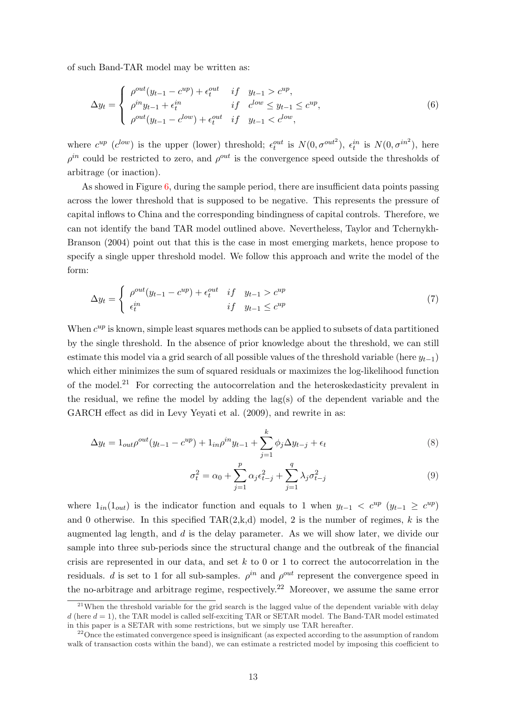of such Band-TAR model may be written as:

$$
\Delta y_t = \begin{cases}\n\rho^{out}(y_{t-1} - c^{up}) + \epsilon_t^{out} & if \quad y_{t-1} > c^{up}, \\
\rho^{in} y_{t-1} + \epsilon_t^{in} & if \quad c^{low} \leq y_{t-1} \leq c^{up}, \\
\rho^{out}(y_{t-1} - c^{low}) + \epsilon_t^{out} & if \quad y_{t-1} < c^{low},\n\end{cases}
$$
\n(6)

where  $c^{up}$  ( $c^{low}$ ) is the upper (lower) threshold;  $\epsilon_t^{out}$  is  $N(0, \sigma^{out^2})$ ,  $\epsilon_t^{in}$  is  $N(0, \sigma^{in^2})$ , here  $\rho^{in}$  could be restricted to zero, and  $\rho^{out}$  is the convergence speed outside the thresholds of arbitrage (or inaction).

As showed in Figure  $6$ , during the sample period, there are insufficient data points passing across the lower threshold that is supposed to be negative. This represents the pressure of capital inflows to China and the corresponding bindingness of capital controls. Therefore, we can not identify the ba[nd](#page-31-0) TAR model outlined above. Nevertheless, Taylor and Tchernykh-Branson (2004) point out that this is the case in most emerging markets, hence propose to specify a single upper threshold model. We follow this approach and write the model of the form:

$$
\Delta y_t = \begin{cases}\n\rho^{out}(y_{t-1} - c^{up}) + \epsilon_t^{out} & if \quad y_{t-1} > c^{up} \\
\epsilon_t^{in} & if \quad y_{t-1} \le c^{up}\n\end{cases} \tag{7}
$$

When  $c^{up}$  is known, simple least squares methods can be applied to subsets of data partitioned by the single threshold. In the absence of prior knowledge about the threshold, we can still estimate this model via a grid search of all possible values of the threshold variable (here  $y_{t-1}$ ) which either minimizes the sum of squared residuals or maximizes the log-likelihood function of the model.<sup>21</sup> For correcting the autocorrelation and the heteroskedasticity prevalent in the residual, we refine the model by adding the  $lag(s)$  of the dependent variable and the GARCH effect as did in Levy Yeyati et al. (2009), and rewrite in as:

$$
\Delta y_t = 1_{out} \rho^{out} (y_{t-1} - c^{up}) + 1_{in} \rho^{in} y_{t-1} + \sum_{j=1}^k \phi_j \Delta y_{t-j} + \epsilon_t
$$
\n(8)

$$
\sigma_t^2 = \alpha_0 + \sum_{j=1}^p \alpha_j \epsilon_{t-j}^2 + \sum_{j=1}^q \lambda_j \sigma_{t-j}^2
$$
\n(9)

where  $1_{in}(1_{out})$  is the indicator function and equals to 1 when  $y_{t-1} < c^{up} (y_{t-1} \geq c^{up})$ and 0 otherwise. In this specified  $TAR(2,k,d)$  model, 2 is the number of regimes, k is the augmented lag length, and  $d$  is the delay parameter. As we will show later, we divide our sample into three sub-periods since the structural change and the outbreak of the financial crisis are represented in our data, and set  $k$  to 0 or 1 to correct the autocorrelation in the residuals. d is set to 1 for all sub-samples.  $\rho^{in}$  and  $\rho^{out}$  represent the convergence speed in the no-arbitrage and arbitrage regime, respectively.<sup>22</sup> Moreover, we assume the same error

<sup>&</sup>lt;sup>21</sup>When the threshold variable for the grid search is the lagged value of the dependent variable with delay  $d$  (here  $d = 1$ ), the TAR model is called self-exciting TAR or SETAR model. The Band-TAR model estimated in this paper is a SETAR with some restrictions, but we simply use TAR hereafter.

<sup>&</sup>lt;sup>22</sup> Once the estimated convergence speed is insignificant (as expected according to the assumption of random walk of transaction costs within the band), we can estimate a restricted model by imposing this coefficient to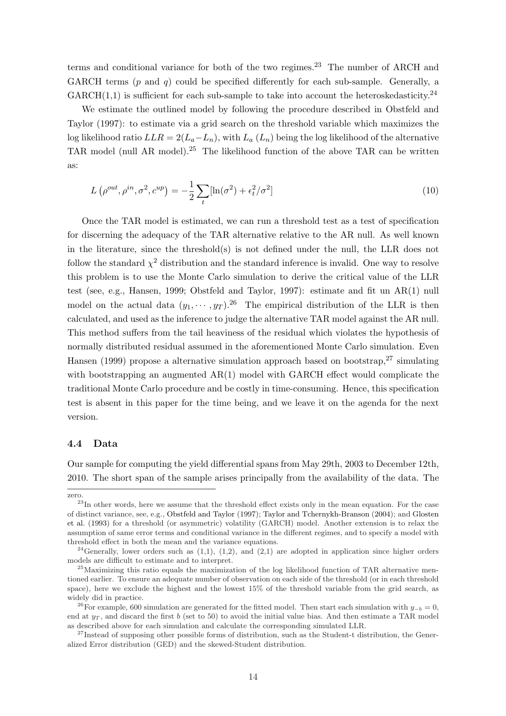terms and conditional variance for both of the two regimes.<sup>23</sup> The number of ARCH and GARCH terms (p and q) could be specified differently for each sub-sample. Generally, a  $GARCH(1,1)$  is sufficient for each sub-sample to take into account the heteroskedasticity.<sup>24</sup>

We estimate the outlined model by following the procedure described in Obstfeld and Taylor (1997): to estimate via a grid search on the threshold variable which maximizes the log likelihood ratio  $LLR = 2(L_a - L_n)$ , with  $L_a(L_n)$  being the log likelihood of the alternative TAR model (null AR model).<sup>25</sup> The likelihood function of the above TAR c[an be written](#page-26-7) [as:](#page-26-7)

$$
L\left(\rho^{out}, \rho^{in}, \sigma^2, c^{up}\right) = -\frac{1}{2} \sum_{t} \left[\ln(\sigma^2) + \epsilon_t^2/\sigma^2\right]
$$
\n(10)

Once the TAR model is estimated, we can run a threshold test as a test of specification for discerning the adequacy of the TAR alternative relative to the AR null. As well known in the literature, since the threshold(s) is not defined under the null, the LLR does not follow the standard  $\chi^2$  distribution and the standard inference is invalid. One way to resolve this problem is to use the Monte Carlo simulation to derive the critical value of the LLR test (see, e.g., Hansen, 1999; Obstfeld and Taylor, 1997): estimate and fit un AR(1) null model on the actual data  $(y_1, \dots, y_T)$ .<sup>26</sup> The empirical distribution of the LLR is then calculated, and used as the inference to judge the alternative TAR model against the AR null. This method s[uffers from the](#page-25-8) [tail heaviness of the](#page-26-7) r[esidua](#page-26-7)l which violates the hypothesis of normally distributed residual assumed in the aforementioned Monte Carlo simulation. Even Hansen (1999) propose a alternative simulation approach based on bootstrap,  $27 \sinulating$ with bootstrapping an augmented  $AR(1)$  model with GARCH effect would complicate the traditional Monte Carlo procedure and be costly in time-consuming. Hence, this specification [test is absent](#page-25-8) in this paper for the time being, and we leave it on the agenda for the next version.

#### 4.4 Data

Our sample for computing the yield differential spans from May 29th, 2003 to December 12th, 2010. The short span of the sample arises principally from the availability of the data. The

zero.

<sup>&</sup>lt;sup>23</sup>In other words, here we assume that the threshold effect exists only in the mean equation. For the case of distinct variance, see, e.g., Obstfeld and Taylor (1997); Taylor and Tchernykh-Branson (2004); and Glosten et al. (1993) for a threshold (or asymmetric) volatility (GARCH) model. Another extension is to relax the assumption of same error terms and conditional variance in the different regimes, and to specify a model with threshold effect in both the mean and the variance equations.

<sup>&</sup>lt;sup>24</sup>Generally, lowe[r orders](#page-25-9) such as  $(1,1)$ ,  $(1,2)$ , [and](#page-26-7)  $(2,1)$  are adopted in application [since](#page-26-6) higher orders [model](#page-25-9)s are difficult to estim[ate and to interpret.](#page-26-7)

 $^{25}$ [Maximi](#page-25-9)zing this ratio equals the maximization of the log likelihood function of TAR alternative mentioned earlier. To ensure an adequate number of observation on each side of the threshold (or in each threshold space), here we exclude the highest and the lowest 15% of the threshold variable from the grid search, as widely did in practice.

<sup>&</sup>lt;sup>26</sup>For example, 600 simulation are generated for the fitted model. Then start each simulation with  $y_{-b} = 0$ , end at  $y_T$ , and discard the first b (set to 50) to avoid the initial value bias. And then estimate a TAR model as described above for each simulation and calculate the corresponding simulated LLR.

<sup>&</sup>lt;sup>27</sup>Instead of supposing other possible forms of distribution, such as the Student-t distribution, the Generalized Error distribution (GED) and the skewed-Student distribution.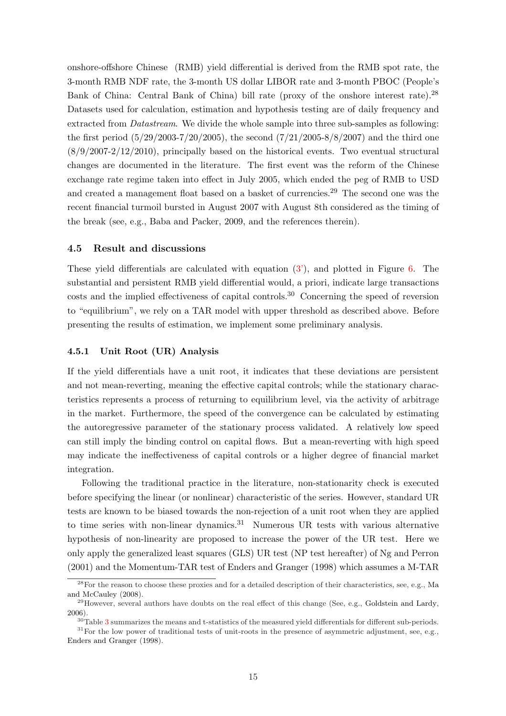onshore-offshore Chinese (RMB) yield differential is derived from the RMB spot rate, the 3-month RMB NDF rate, the 3-month US dollar LIBOR rate and 3-month PBOC (People's Bank of China: Central Bank of China) bill rate (proxy of the onshore interest rate).<sup>28</sup> Datasets used for calculation, estimation and hypothesis testing are of daily frequency and extracted from *Datastream*. We divide the whole sample into three sub-samples as following: the first period  $(5/29/2003-7/20/2005)$ , the second  $(7/21/2005-8/8/2007)$  and the third one  $(8/9/2007-2/12/2010)$ , principally based on the historical events. Two eventual structural changes are documented in the literature. The first event was the reform of the Chinese exchange rate regime taken into effect in July 2005, which ended the peg of RMB to USD and created a management float based on a basket of currencies.<sup>29</sup> The second one was the recent financial turmoil bursted in August 2007 with August 8th considered as the timing of the break (see, e.g., Baba and Packer, 2009, and the references therein).

#### 4.5 Result and discussions

These yield differe[ntials are calculated wit](#page-24-6)h equation  $(3')$ , and plotted in Figure 6. The substantial and persistent RMB yield differential would, a priori, indicate large transactions costs and the implied effectiveness of capital controls.<sup>30</sup> Concerning the speed of reversion to "equilibrium", we rely on a TAR model with upper t[hre](#page-11-1)shold as described above[. B](#page-31-0)efore presenting the results of estimation, we implement some preliminary analysis.

#### 4.5.1 Unit Root (UR) Analysis

If the yield differentials have a unit root, it indicates that these deviations are persistent and not mean-reverting, meaning the effective capital controls; while the stationary characteristics represents a process of returning to equilibrium level, via the activity of arbitrage in the market. Furthermore, the speed of the convergence can be calculated by estimating the autoregressive parameter of the stationary process validated. A relatively low speed can still imply the binding control on capital flows. But a mean-reverting with high speed may indicate the ineffectiveness of capital controls or a higher degree of financial market integration.

Following the traditional practice in the literature, non-stationarity check is executed before specifying the linear (or nonlinear) characteristic of the series. However, standard UR tests are known to be biased towards the non-rejection of a unit root when they are applied to time series with non-linear dynamics.<sup>31</sup> Numerous UR tests with various alternative hypothesis of non-linearity are proposed to increase the power of the UR test. Here we only apply the generalized least squares (GLS) UR test (NP test hereafter) of Ng and Perron (2001) and the Momentum-TAR test of Enders and Granger (1998) which assumes a M-TAR

<sup>&</sup>lt;sup>28</sup>For the reason to choose these proxies and for a detailed description of their characteristics, see, e.g., Ma and McCauley (2008).

<sup>&</sup>lt;sup>29</sup>However, several authors have doubts on [the real effect of this change \(S](#page-24-8)ee, e.g., Gol[dstein and Lardy,](#page-26-10) [2006\).](#page-26-10)

 $30$ Table 3 summarizes the means and t-statistics of the measured yield differentials for different sub-periods.

<sup>&</sup>lt;sup>31</sup>For the low power of traditional tests of unit-roots in the presence of asymmetric adjustment, see, [e.g.,](#page-26-3) [Enders and Granger](#page-26-3) (1998).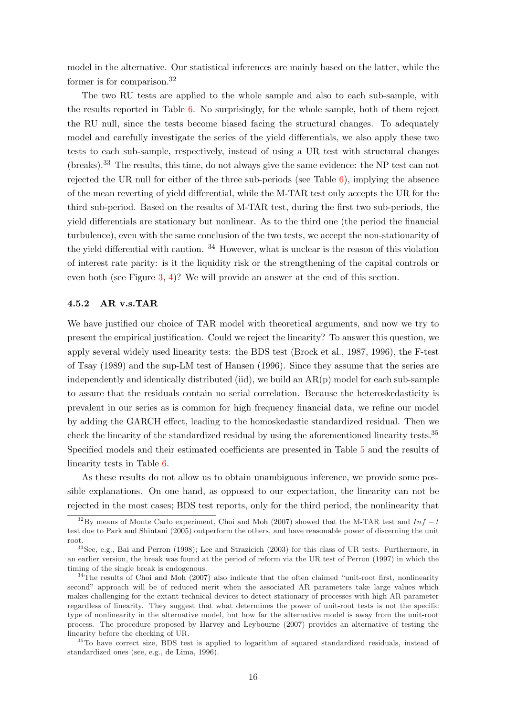model in the alternative. Our statistical inferences are mainly based on the latter, while the former is for comparison.<sup>32</sup>

The two RU tests are applied to the whole sample and also to each sub-sample, with the results reported in Table 6. No surprisingly, for the whole sample, both of them reject the RU null, since the tests become biased facing the structural changes. To adequately model and carefully investigate the series of the yield differentials, we also apply these two tests to each sub-sample, res[pe](#page-34-0)ctively, instead of using a UR test with structural changes (breaks).<sup>33</sup> The results, this time, do not always give the same evidence: the NP test can not rejected the UR null for either of the three sub-periods (see Table  $6$ ), implying the absence of the mean reverting of yield differential, while the M-TAR test only accepts the UR for the third sub-period. Based on the results of M-TAR test, during the first two sub-periods, the yield differentials are stationary but nonlinear. As to the third one [\(t](#page-34-0)he period the financial turbulence), even with the same conclusion of the two tests, we accept the non-stationarity of the yield differential with caution. <sup>34</sup> However, what is unclear is the reason of this violation of interest rate parity: is it the liquidity risk or the strengthening of the capital controls or even both (see Figure 3, 4)? We will provide an answer at the end of this section.

#### 4.5.2 AR v.s.TAR

We have justified our [ch](#page-29-0)[oic](#page-30-0)e of TAR model with theoretical arguments, and now we try to present the empirical justification. Could we reject the linearity? To answer this question, we apply several widely used linearity tests: the BDS test (Brock et al., 1987, 1996), the F-test of Tsay (1989) and the sup-LM test of Hansen (1996). Since they assume that the series are independently and identically distributed (iid), we build an  $AR(p)$  model for each sub-sample to assure that the residuals contain no serial correlatio[n. Because the het](#page-24-9)[eroske](#page-24-10)dasticity is pr[evalent in o](#page-27-3)ur series as is common f[or high frequen](#page-25-10)cy financial data, we refine our model by adding the GARCH effect, leading to the homoskedastic standardized residual. Then we check the linearity of the standardized residual by using the aforementioned linearity tests.<sup>35</sup> Specified models and their estimated coefficients are presented in Table 5 and the results of linearity tests in Table 6.

As these results do not allow us to obtain unambiguous inference, we provide some possible explanations. On one hand, as opposed to our expectation, the l[in](#page-35-0)earity can not be rejected in the most ca[ses](#page-36-0); BDS test reports, only for the third period, the nonlinearity that

<sup>&</sup>lt;sup>32</sup>By means of Monte Carlo experiment, Choi and Moh (2007) showed that the M-TAR test and Inf – t test due to Park and Shintani (2005) outperform the others, and have reasonable power of discerning the unit root.

 $33$ See, e.g., Bai and Perron (1998); Lee and Strazicich (2003) for this class of UR tests. Furthermore, in an earlier version, the break was found at t[he period of reform via](#page-24-11) the UR test of Perron (1997) in which the timing of t[he single break is e](#page-26-11)ndogenous.

 $34$ The results of Choi and [Moh](#page-26-11) (2007) also indicate that the often claimed "unit-root first, nonlinearity second" approach will be of reduced merit when the associated AR parameters take large values which makes challen[ging for the extant tech](#page-24-12)[nical devices to dete](#page-25-11)c[t stat](#page-25-11)ionary of processes with high AR parameter regardless of linearity. They suggest that what determines the power of unit-root tests [is no](#page-26-12)t the specific type of nonlinearity in the alternati[ve mo](#page-24-11)del, but how far the alternative model is away from the unit-root process. The proc[edure proposed](#page-24-11) by Harvey and Leybourne (2007) provides an alternative of testing the linearity before the checking of UR.

<sup>&</sup>lt;sup>35</sup>To have correct size, BDS test is applied to logarithm of squared standardized residuals, instead of standardized ones (see, e.g., de Lima, 1996).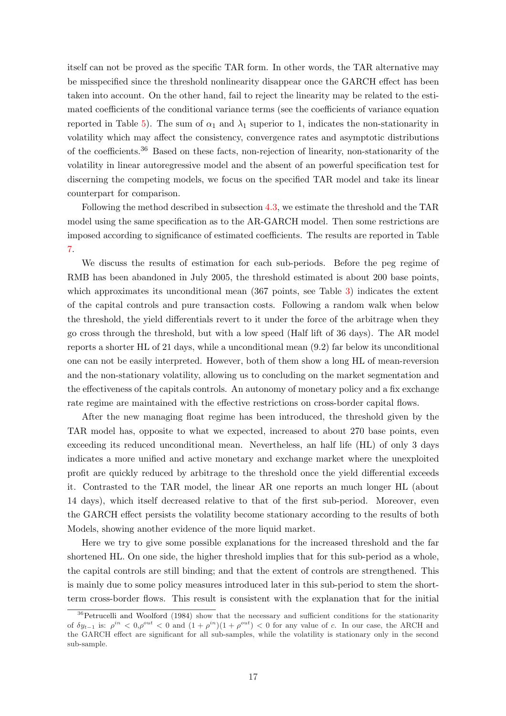itself can not be proved as the specific TAR form. In other words, the TAR alternative may be misspecified since the threshold nonlinearity disappear once the GARCH effect has been taken into account. On the other hand, fail to reject the linearity may be related to the estimated coefficients of the conditional variance terms (see the coefficients of variance equation reported in Table 5). The sum of  $\alpha_1$  and  $\lambda_1$  superior to 1, indicates the non-stationarity in volatility which may affect the consistency, convergence rates and asymptotic distributions of the coefficients.<sup>36</sup> Based on these facts, non-rejection of linearity, non-stationarity of the volatility in linear [a](#page-35-0)utoregressive model and the absent of an powerful specification test for discerning the competing models, we focus on the specified TAR model and take its linear counterpart for comparison.

Following the method described in subsection 4.3, we estimate the threshold and the TAR model using the same specification as to the AR-GARCH model. Then some restrictions are imposed according to significance of estimated coefficients. The results are reported in Table 7.

We discuss the results of estimation for each sub-periods. Before the peg regime of RMB has been abandoned in July 2005, the threshold estimated is about 200 base points, [w](#page-37-0)hich approximates its unconditional mean (367 points, see Table 3) indicates the extent of the capital controls and pure transaction costs. Following a random walk when below the threshold, the yield differentials revert to it under the force of the arbitrage when they go cross through the threshold, but with a low speed (Half lift of 3[6 d](#page-34-0)ays). The AR model reports a shorter HL of 21 days, while a unconditional mean (9.2) far below its unconditional one can not be easily interpreted. However, both of them show a long HL of mean-reversion and the non-stationary volatility, allowing us to concluding on the market segmentation and the effectiveness of the capitals controls. An autonomy of monetary policy and a fix exchange rate regime are maintained with the effective restrictions on cross-border capital flows.

After the new managing float regime has been introduced, the threshold given by the TAR model has, opposite to what we expected, increased to about 270 base points, even exceeding its reduced unconditional mean. Nevertheless, an half life (HL) of only 3 days indicates a more unified and active monetary and exchange market where the unexploited profit are quickly reduced by arbitrage to the threshold once the yield differential exceeds it. Contrasted to the TAR model, the linear AR one reports an much longer HL (about 14 days), which itself decreased relative to that of the first sub-period. Moreover, even the GARCH effect persists the volatility become stationary according to the results of both Models, showing another evidence of the more liquid market.

Here we try to give some possible explanations for the increased threshold and the far shortened HL. On one side, the higher threshold implies that for this sub-period as a whole, the capital controls are still binding; and that the extent of controls are strengthened. This is mainly due to some policy measures introduced later in this sub-period to stem the shortterm cross-border flows. This result is consistent with the explanation that for the initial

<sup>&</sup>lt;sup>36</sup>Petrucelli and Woolford (1984) show that the necessary and sufficient conditions for the stationarity of  $\delta y_{t-1}$  is:  $\rho^{in} < 0, \rho^{out} < 0$  and  $(1 + \rho^{in})(1 + \rho^{out}) < 0$  for any value of c. In our case, the ARCH and the GARCH effect are significant for all sub-samples, while the volatility is stationary only in the second sub-sample.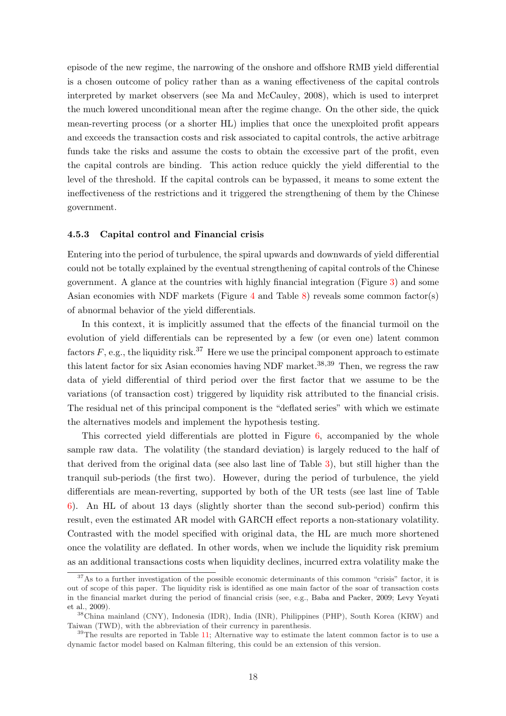episode of the new regime, the narrowing of the onshore and offshore RMB yield differential is a chosen outcome of policy rather than as a waning effectiveness of the capital controls interpreted by market observers (see Ma and McCauley, 2008), which is used to interpret the much lowered unconditional mean after the regime change. On the other side, the quick mean-reverting process (or a shorter HL) implies that once the unexploited profit appears and exceeds the transaction costs and [risk associated to capital c](#page-26-3)ontrols, the active arbitrage funds take the risks and assume the costs to obtain the excessive part of the profit, even the capital controls are binding. This action reduce quickly the yield differential to the level of the threshold. If the capital controls can be bypassed, it means to some extent the ineffectiveness of the restrictions and it triggered the strengthening of them by the Chinese government.

#### 4.5.3 Capital control and Financial crisis

Entering into the period of turbulence, the spiral upwards and downwards of yield differential could not be totally explained by the eventual strengthening of capital controls of the Chinese government. A glance at the countries with highly financial integration (Figure 3) and some Asian economies with NDF markets (Figure 4 and Table 8) reveals some common factor(s) of abnormal behavior of the yield differentials.

In this context, it is implicitly assumed that the effects of the financial tu[rm](#page-29-0)oil on the evolution of yield differentials can be repre[sen](#page-30-0)ted by a [few](#page-38-0) (or even one) latent common factors  $F$ , e.g., the liquidity risk.<sup>37</sup> Here we use the principal component approach to estimate this latent factor for six Asian economies having NDF market.<sup>38,39</sup> Then, we regress the raw data of yield differential of third period over the first factor that we assume to be the variations (of transaction cost) triggered by liquidity risk attributed to the financial crisis. The residual net of this principal component is the "deflated series" with which we estimate the alternatives models and implement the hypothesis testing.

This corrected yield differentials are plotted in Figure 6, accompanied by the whole sample raw data. The volatility (the standard deviation) is largely reduced to the half of that derived from the original data (see also last line of Table 3), but still higher than the tranquil sub-periods (the first two). However, during the [pe](#page-31-0)riod of turbulence, the yield differentials are mean-reverting, supported by both of the UR tests (see last line of Table 6). An HL of about 13 days (slightly shorter than the seco[nd](#page-34-0) sub-period) confirm this result, even the estimated AR model with GARCH effect reports a non-stationary volatility. Contrasted with the model specified with original data, the HL are much more shortened [on](#page-34-0)ce the volatility are deflated. In other words, when we include the liquidity risk premium as an additional transactions costs when liquidity declines, incurred extra volatility make the

 $37\text{As}$  to a further investigation of the possible economic determinants of this common "crisis" factor, it is out of scope of this paper. The liquidity risk is identified as one main factor of the soar of transaction costs in the financial market during the period of financial crisis (see, e.g., Baba and Packer, 2009; Levy Yeyati et al., 2009).

<sup>38</sup>China mainland (CNY), Indonesia (IDR), India (INR), Philippines (PHP), South Korea (KRW) and Taiwan (TWD), with the abbreviation of their currency in parenthesis.

 $39$ The results are reported in Table 11; Alternative way to estimate the latent commo[n fact](#page-24-6)[or is to use a](#page-26-9) [dynamic fac](#page-26-9)tor model based on Kalman filtering, this could be an exte[nsion of this versio](#page-24-6)n.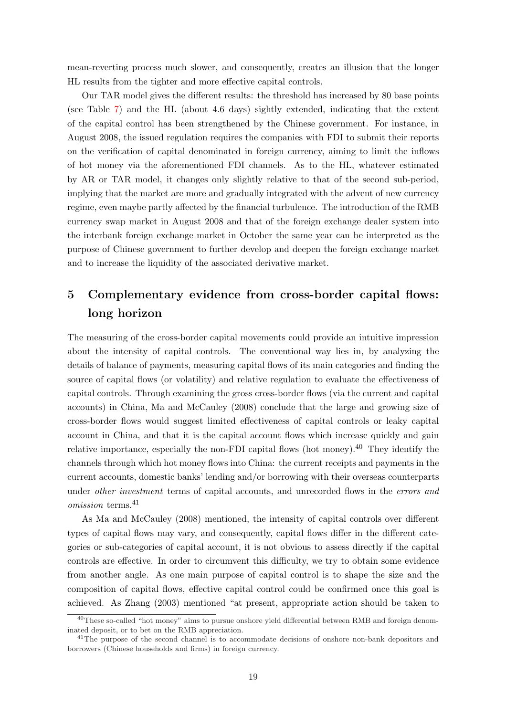mean-reverting process much slower, and consequently, creates an illusion that the longer HL results from the tighter and more effective capital controls.

Our TAR model gives the different results: the threshold has increased by 80 base points (see Table 7) and the HL (about 4.6 days) sightly extended, indicating that the extent of the capital control has been strengthened by the Chinese government. For instance, in August 2008, the issued regulation requires the companies with FDI to submit their reports on the veri[fic](#page-37-0)ation of capital denominated in foreign currency, aiming to limit the inflows of hot money via the aforementioned FDI channels. As to the HL, whatever estimated by AR or TAR model, it changes only slightly relative to that of the second sub-period, implying that the market are more and gradually integrated with the advent of new currency regime, even maybe partly affected by the financial turbulence. The introduction of the RMB currency swap market in August 2008 and that of the foreign exchange dealer system into the interbank foreign exchange market in October the same year can be interpreted as the purpose of Chinese government to further develop and deepen the foreign exchange market and to increase the liquidity of the associated derivative market.

## 5 Complementary evidence from cross-border capital flows: long horizon

<span id="page-19-0"></span>The measuring of the cross-border capital movements could provide an intuitive impression about the intensity of capital controls. The conventional way lies in, by analyzing the details of balance of payments, measuring capital flows of its main categories and finding the source of capital flows (or volatility) and relative regulation to evaluate the effectiveness of capital controls. Through examining the gross cross-border flows (via the current and capital accounts) in China, Ma and McCauley (2008) conclude that the large and growing size of cross-border flows would suggest limited effectiveness of capital controls or leaky capital account in China, and that it is the capital account flows which increase quickly and gain relative importance, [especially the non-FDI ca](#page-26-3)pital flows (hot money).<sup>40</sup> They identify the channels through which hot money flows into China: the current receipts and payments in the current accounts, domestic banks' lending and/or borrowing with their overseas counterparts under *other investment* terms of capital accounts, and unrecorded flows in the *errors and* omission terms.<sup>41</sup>

As Ma and McCauley (2008) mentioned, the intensity of capital controls over different types of capital flows may vary, and consequently, capital flows differ in the different categories or sub-categories of capital account, it is not obvious to assess directly if the capital contro[ls are effective. In o](#page-26-3)r[der to](#page-26-3) circumvent this difficulty, we try to obtain some evidence from another angle. As one main purpose of capital control is to shape the size and the composition of capital flows, effective capital control could be confirmed once this goal is achieved. As Zhang (2003) mentioned "at present, appropriate action should be taken to

<sup>&</sup>lt;sup>40</sup>These so-called "hot money" aims to pursue onshore yield differential between RMB and foreign denominated deposit, or to bet on the RMB appreciation.

<sup>&</sup>lt;sup>41</sup>The purpose of the second channel is to accommodate decisions of onshore non-bank depositors and borrowers (Chin[ese households a](#page-27-4)nd firms) in foreign currency.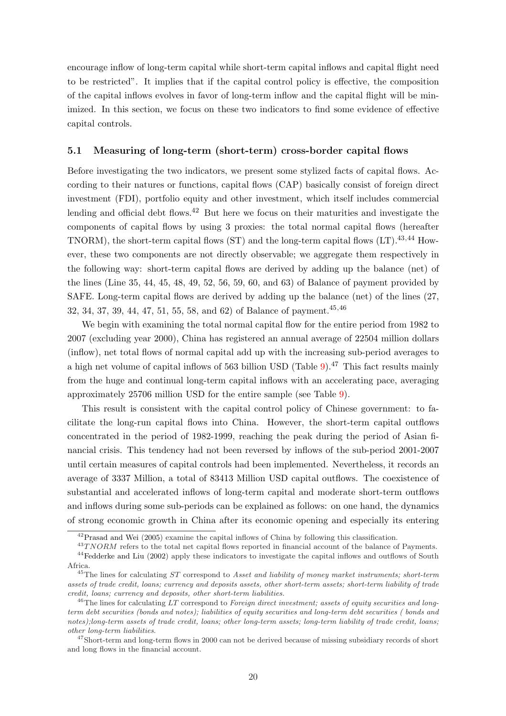encourage inflow of long-term capital while short-term capital inflows and capital flight need to be restricted". It implies that if the capital control policy is effective, the composition of the capital inflows evolves in favor of long-term inflow and the capital flight will be minimized. In this section, we focus on these two indicators to find some evidence of effective capital controls.

#### 5.1 Measuring of long-term (short-term) cross-border capital flows

Before investigating the two indicators, we present some stylized facts of capital flows. According to their natures or functions, capital flows (CAP) basically consist of foreign direct investment (FDI), portfolio equity and other investment, which itself includes commercial lending and official debt flows.<sup>42</sup> But here we focus on their maturities and investigate the components of capital flows by using 3 proxies: the total normal capital flows (hereafter TNORM), the short-term capital flows (ST) and the long-term capital flows (LT).<sup>43,44</sup> However, these two components are not directly observable; we aggregate them respectively in the following way: short-term capital flows are derived by adding up the balance (net) of the lines (Line 35, 44, 45, 48, 49, 52, 56, 59, 60, and 63) of Balance of payment provided by SAFE. Long-term capital flows are derived by adding up the balance (net) of the lines (27, 32, 34, 37, 39, 44, 47, 51, 55, 58, and 62) of Balance of payment.45,46

We begin with examining the total normal capital flow for the entire period from 1982 to 2007 (excluding year 2000), China has registered an annual average of 22504 million dollars (inflow), net total flows of normal capital add up with the increasing sub-period averages to a high net volume of capital inflows of 563 billion USD (Table 9).<sup>47</sup> This fact results mainly from the huge and continual long-term capital inflows with an accelerating pace, averaging approximately 25706 million USD for the entire sample (see Table 9).

This result is consistent with the capital control policy o[f C](#page-38-1)hinese government: to facilitate the long-run capital flows into China. However, the short-term capital outflows concentrated in the period of 1982-1999, reaching the peak durin[g](#page-38-1) the period of Asian financial crisis. This tendency had not been reversed by inflows of the sub-period 2001-2007 until certain measures of capital controls had been implemented. Nevertheless, it records an average of 3337 Million, a total of 83413 Million USD capital outflows. The coexistence of substantial and accelerated inflows of long-term capital and moderate short-term outflows and inflows during some sub-periods can be explained as follows: on one hand, the dynamics of strong economic growth in China after its economic opening and especially its entering

 $^{42}$ Prasad and Wei (2005) examine the capital inflows of China by following this classification.

 $^{43}TNORM$  refers to the total net capital flows reported in financial account of the balance of Payments.

<sup>44</sup>Fedderke and Liu (2002) apply these indicators to investigate the capital inflows and outflows of South Africa.

<sup>&</sup>lt;sup>45</sup>The lines for calculating  $ST$  correspond to Asset and liability of money market instruments; short-term asse[ts of trade credit,](#page-26-13) l[oans;](#page-26-13) currency and deposits assets, other short-term assets; short-term liability of trade credit, loans; currency and deposits, other short-term liabilities.

 $^{46}$ [The lines for calcu](#page-24-13)l[ating](#page-24-13) LT correspond to Foreign direct investment; assets of equity securities and longterm debt securities (bonds and notes); liabilities of equity securities and long-term debt securities ( bonds and notes);long-term assets of trade credit, loans; other long-term assets; long-term liability of trade credit, loans; other long-term liabilities.

<sup>&</sup>lt;sup>47</sup>Short-term and long-term flows in 2000 can not be derived because of missing subsidiary records of short and long flows in the financial account.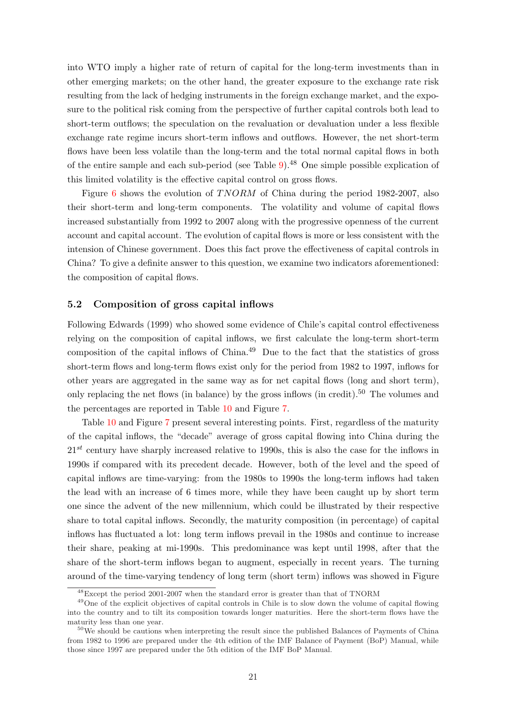into WTO imply a higher rate of return of capital for the long-term investments than in other emerging markets; on the other hand, the greater exposure to the exchange rate risk resulting from the lack of hedging instruments in the foreign exchange market, and the exposure to the political risk coming from the perspective of further capital controls both lead to short-term outflows; the speculation on the revaluation or devaluation under a less flexible exchange rate regime incurs short-term inflows and outflows. However, the net short-term flows have been less volatile than the long-term and the total normal capital flows in both of the entire sample and each sub-period (see Table 9).<sup>48</sup> One simple possible explication of this limited volatility is the effective capital control on gross flows.

Figure 6 shows the evolution of  $T NORM$  of China during the period 1982-2007, also their short-term and long-term components. The [v](#page-38-1)olatility and volume of capital flows increased substantially from 1992 to 2007 along with the progressive openness of the current account a[nd](#page-32-0) capital account. The evolution of capital flows is more or less consistent with the intension of Chinese government. Does this fact prove the effectiveness of capital controls in China? To give a definite answer to this question, we examine two indicators aforementioned: the composition of capital flows.

#### 5.2 Composition of gross capital inflows

Following Edwards (1999) who showed some evidence of Chile's capital control effectiveness relying on the composition of capital inflows, we first calculate the long-term short-term composition of the capital inflows of  $China<sup>49</sup>$  Due to the fact that the statistics of gross short-ter[m flows and long](#page-24-0)-term flows exist only for the period from 1982 to 1997, inflows for other years are aggregated in the same way as for net capital flows (long and short term), only replacing the net flows (in balance) by the gross inflows (in credit).<sup>50</sup> The volumes and the percentages are reported in Table 10 and Figure 7.

Table 10 and Figure 7 present several interesting points. First, regardless of the maturity of the capital inflows, the "decade" average of gross capital flowing into China during the  $21^{st}$  century have sharply increased r[elat](#page-39-0)ive to 1990[s, t](#page-32-1)his is also the case for the inflows in 1990s if c[om](#page-39-0)pared with [it](#page-32-1)s precedent decade. However, both of the level and the speed of capital inflows are time-varying: from the 1980s to 1990s the long-term inflows had taken the lead with an increase of 6 times more, while they have been caught up by short term one since the advent of the new millennium, which could be illustrated by their respective share to total capital inflows. Secondly, the maturity composition (in percentage) of capital inflows has fluctuated a lot: long term inflows prevail in the 1980s and continue to increase their share, peaking at mi-1990s. This predominance was kept until 1998, after that the share of the short-term inflows began to augment, especially in recent years. The turning around of the time-varying tendency of long term (short term) inflows was showed in Figure

<sup>48</sup>Except the period 2001-2007 when the standard error is greater than that of TNORM

<sup>&</sup>lt;sup>49</sup>One of the explicit objectives of capital controls in Chile is to slow down the volume of capital flowing into the country and to tilt its composition towards longer maturities. Here the short-term flows have the maturity less than one year.

 $50\,\text{We should be cautious when interpreting the result since the published Balances of Payments of China}$ from 1982 to 1996 are prepared under the 4th edition of the IMF Balance of Payment (BoP) Manual, while those since 1997 are prepared under the 5th edition of the IMF BoP Manual.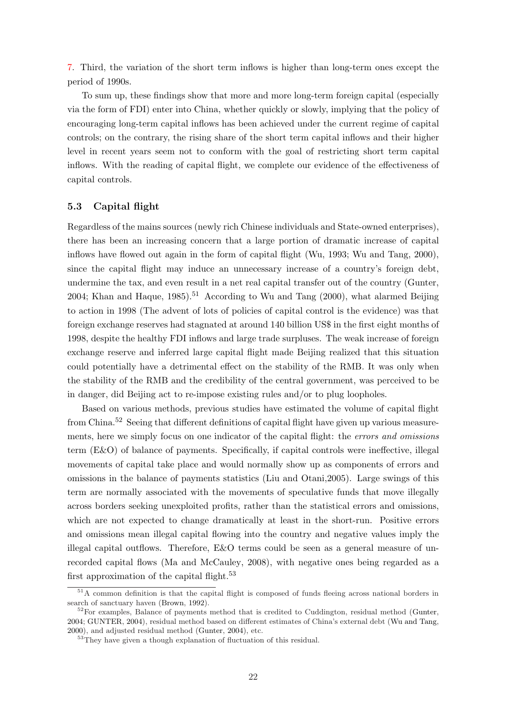7. Third, the variation of the short term inflows is higher than long-term ones except the period of 1990s.

To sum up, these findings show that more and more long-term foreign capital (especially [vi](#page-32-1)a the form of FDI) enter into China, whether quickly or slowly, implying that the policy of encouraging long-term capital inflows has been achieved under the current regime of capital controls; on the contrary, the rising share of the short term capital inflows and their higher level in recent years seem not to conform with the goal of restricting short term capital inflows. With the reading of capital flight, we complete our evidence of the effectiveness of capital controls.

#### 5.3 Capital flight

Regardless of the mains sources (newly rich Chinese individuals and State-owned enterprises), there has been an increasing concern that a large portion of dramatic increase of capital inflows have flowed out again in the form of capital flight (Wu, 1993; Wu and Tang, 2000), since the capital flight may induce an unnecessary increase of a country's foreign debt, undermine the tax, and even result in a net real capital transfer out of the country (Gunter, 2004; Khan and Haque, 1985).<sup>51</sup> Accordi[ng](#page-27-5) to Wu and Tang  $(2000)$ , [what alarmed](#page-27-6) [Beijin](#page-27-6)g to action in 1998 (The advent of lots of policies of capital control is the evidence) was that foreign exchange reserves had stagnated at around 140 billion US\$ in the first eight [months of](#page-25-12) [1998,](#page-25-12) [despite the healthy FDI](#page-25-13) inflows and large [trade surpluses](#page-27-6). [The](#page-27-6) weak increase of foreign exchange reserve and inferred large capital flight made Beijing realized that this situation could potentially have a detrimental effect on the stability of the RMB. It was only when the stability of the RMB and the credibility of the central government, was perceived to be in danger, did Beijing act to re-impose existing rules and/or to plug loopholes.

Based on various methods, previous studies have estimated the volume of capital flight from China.<sup>52</sup> Seeing that different definitions of capital flight have given up various measurements, here we simply focus on one indicator of the capital flight: the *errors and omissions* term (E&O) of balance of payments. Specifically, if capital controls were ineffective, illegal movements of capital take place and would normally show up as components of errors and omissions in the balance of payments statistics (Liu and Otani,2005). Large swings of this term are normally associated with the movements of speculative funds that move illegally across borders seeking unexploited profits, rather than the statistical errors and omissions, which are not expected to change dramatically at least in the short-run. Positive errors and omissions mean illegal capital flowing into the country and negative values imply the illegal capital outflows. Therefore, E&O terms could be seen as a general measure of unrecorded capital flows (Ma and McCauley, 2008), with negative ones being regarded as a first approximation of the capital flight. $53$ 

<sup>&</sup>lt;sup>51</sup>A common definition is that the capital flight is composed of funds fleeing across national borders in search of sanctuary haven (Brown, 1992).

 $52$  For examples, Balance [of payments method t](#page-26-3)h[at is c](#page-26-3)redited to Cuddington, residual method (Gunter, 2004; GUNTER, 2004), residual method based on different estimates of China's external debt (Wu and Tang, 2000), and adjusted residual method (Gunter, 2004), etc.

<sup>&</sup>lt;sup>53</sup>They have given a tho[ugh explanat](#page-24-14)ion of fluctuation of this residual.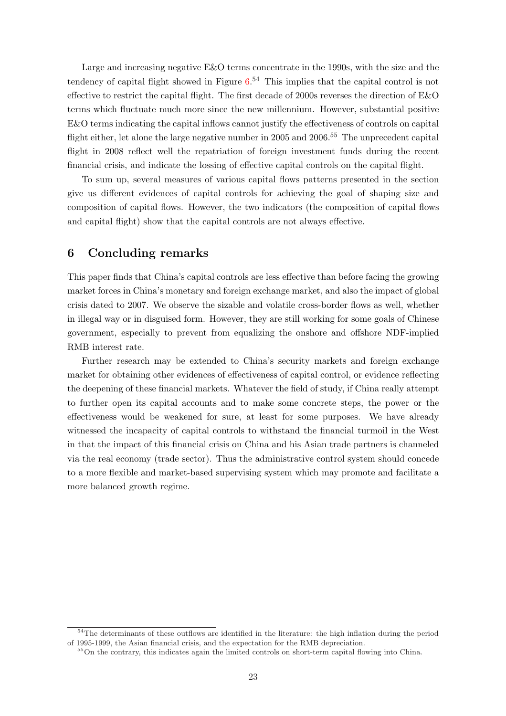Large and increasing negative E&O terms concentrate in the 1990s, with the size and the tendency of capital flight showed in Figure  $6^{54}$  This implies that the capital control is not effective to restrict the capital flight. The first decade of 2000s reverses the direction of E&O terms which fluctuate much more since the new millennium. However, substantial positive E&O terms indicating the capital inflows ca[nn](#page-33-0)ot justify the effectiveness of controls on capital flight either, let alone the large negative number in 2005 and  $2006<sup>55</sup>$ . The unprecedent capital flight in 2008 reflect well the repatriation of foreign investment funds during the recent financial crisis, and indicate the lossing of effective capital controls on the capital flight.

To sum up, several measures of various capital flows patterns presented in the section give us different evidences of capital controls for achieving the goal of shaping size and composition of capital flows. However, the two indicators (the composition of capital flows and capital flight) show that the capital controls are not always effective.

### 6 Concluding remarks

This paper finds that China's capital controls are less effective than before facing the growing market forces in China's monetary and foreign exchange market, and also the impact of global crisis dated to 2007. We observe the sizable and volatile cross-border flows as well, whether in illegal way or in disguised form. However, they are still working for some goals of Chinese government, especially to prevent from equalizing the onshore and offshore NDF-implied RMB interest rate.

Further research may be extended to China's security markets and foreign exchange market for obtaining other evidences of effectiveness of capital control, or evidence reflecting the deepening of these financial markets. Whatever the field of study, if China really attempt to further open its capital accounts and to make some concrete steps, the power or the effectiveness would be weakened for sure, at least for some purposes. We have already witnessed the incapacity of capital controls to withstand the financial turmoil in the West in that the impact of this financial crisis on China and his Asian trade partners is channeled via the real economy (trade sector). Thus the administrative control system should concede to a more flexible and market-based supervising system which may promote and facilitate a more balanced growth regime.

<sup>&</sup>lt;sup>54</sup>The determinants of these outflows are identified in the literature: the high inflation during the period of 1995-1999, the Asian financial crisis, and the expectation for the RMB depreciation.

<sup>55</sup>On the contrary, this indicates again the limited controls on short-term capital flowing into China.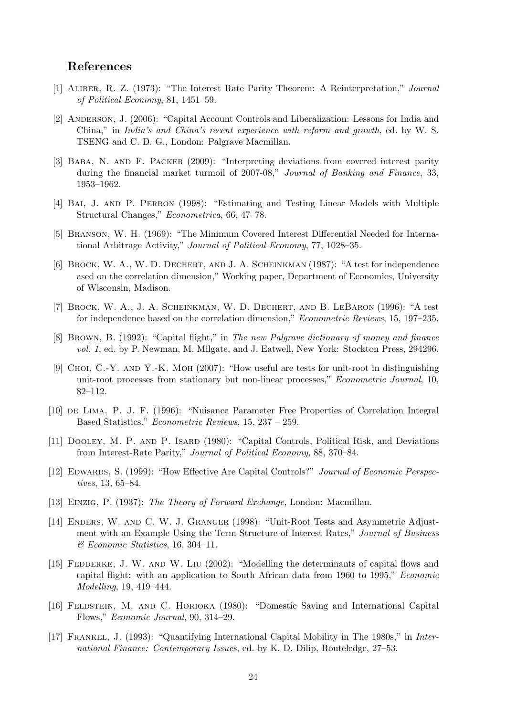### References

- <span id="page-24-5"></span>[1] Aliber, R. Z. (1973): "The Interest Rate Parity Theorem: A Reinterpretation," Journal of Political Economy, 81, 1451–59.
- <span id="page-24-1"></span>[2] ANDERSON, J. (2006): "Capital Account Controls and Liberalization: Lessons for India and China," in India's and China's recent experience with reform and growth, ed. by W. S. TSENG and C. D. G., London: Palgrave Macmillan.
- <span id="page-24-6"></span>[3] Baba, N. and F. Packer (2009): "Interpreting deviations from covered interest parity during the financial market turmoil of 2007-08," Journal of Banking and Finance, 33, 1953–1962.
- <span id="page-24-12"></span>[4] Bai, J. and P. Perron (1998): "Estimating and Testing Linear Models with Multiple Structural Changes," Econometrica, 66, 47–78.
- [5] Branson, W. H. (1969): "The Minimum Covered Interest Differential Needed for International Arbitrage Activity," Journal of Political Economy, 77, 1028–35.
- <span id="page-24-9"></span>[6] BROCK, W. A., W. D. DECHERT, AND J. A. SCHEINKMAN (1987): "A test for independence ased on the correlation dimension," Working paper, Department of Economics, University of Wisconsin, Madison.
- <span id="page-24-10"></span>[7] Brock, W. A., J. A. Scheinkman, W. D. Dechert, and B. LeBaron (1996): "A test for independence based on the correlation dimension," Econometric Reviews, 15, 197–235.
- <span id="page-24-14"></span>[8] Brown, B. (1992): "Capital flight," in The new Palgrave dictionary of money and finance vol. 1, ed. by P. Newman, M. Milgate, and J. Eatwell, New York: Stockton Press, 294296.
- <span id="page-24-11"></span>[9] Choi, C.-Y. and Y.-K. Moh (2007): "How useful are tests for unit-root in distinguishing unit-root processes from stationary but non-linear processes," Econometric Journal, 10, 82–112.
- [10] de Lima, P. J. F. (1996): "Nuisance Parameter Free Properties of Correlation Integral Based Statistics." Econometric Reviews, 15, 237 – 259.
- <span id="page-24-2"></span>[11] Dooley, M. P. and P. Isard (1980): "Capital Controls, Political Risk, and Deviations from Interest-Rate Parity," Journal of Political Economy, 88, 370–84.
- <span id="page-24-0"></span>[12] EDWARDS, S. (1999): "How Effective Are Capital Controls?" Journal of Economic Perspectives, 13, 65–84.
- <span id="page-24-7"></span>[13] Einzig, P. (1937): The Theory of Forward Exchange, London: Macmillan.
- <span id="page-24-8"></span>[14] ENDERS, W. AND C. W. J. GRANGER (1998): "Unit-Root Tests and Asymmetric Adjustment with an Example Using the Term Structure of Interest Rates," Journal of Business & Economic Statistics, 16, 304–11.
- <span id="page-24-13"></span>[15] FEDDERKE, J. W. AND W. LIU (2002): "Modelling the determinants of capital flows and capital flight: with an application to South African data from 1960 to 1995," Economic Modelling, 19, 419–444.
- <span id="page-24-3"></span>[16] Feldstein, M. and C. Horioka (1980): "Domestic Saving and International Capital Flows," Economic Journal, 90, 314–29.
- <span id="page-24-4"></span>[17] Frankel, J. (1993): "Quantifying International Capital Mobility in The 1980s," in International Finance: Contemporary Issues, ed. by K. D. Dilip, Routeledge, 27–53.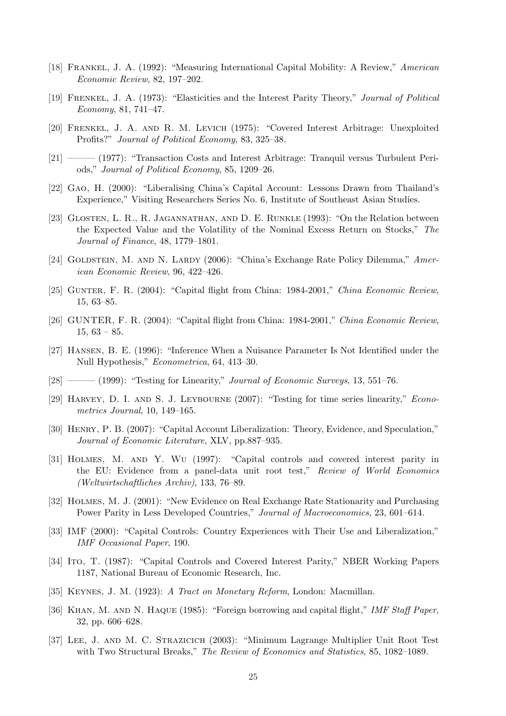- <span id="page-25-3"></span>[18] Frankel, J. A. (1992): "Measuring International Capital Mobility: A Review," American Economic Review, 82, 197–202.
- [19] Frenkel, J. A. (1973): "Elasticities and the Interest Parity Theory," Journal of Political Economy, 81, 741–47.
- <span id="page-25-5"></span>[20] Frenkel, J. A. and R. M. Levich (1975): "Covered Interest Arbitrage: Unexploited Profits?" Journal of Political Economy, 83, 325–38.
- [21] ——— (1977): "Transaction Costs and Interest Arbitrage: Tranquil versus Turbulent Periods," Journal of Political Economy, 85, 1209–26.
- <span id="page-25-2"></span>[22] Gao, H. (2000): "Liberalising China's Capital Account: Lessons Drawn from Thailand's Experience," Visiting Researchers Series No. 6, Institute of Southeast Asian Studies.
- <span id="page-25-9"></span>[23] Glosten, L. R., R. Jagannathan, and D. E. Runkle (1993): "On the Relation between the Expected Value and the Volatility of the Nominal Excess Return on Stocks," The Journal of Finance, 48, 1779–1801.
- [24] GOLDSTEIN, M. AND N. LARDY (2006): "China's Exchange Rate Policy Dilemma," American Economic Review, 96, 422–426.
- <span id="page-25-12"></span>[25] GUNTER, F. R. (2004): "Capital flight from China: 1984-2001," China Economic Review, 15, 63–85.
- [26] GUNTER, F. R. (2004): "Capital flight from China: 1984-2001," China Economic Review,  $15, 63 - 85.$
- <span id="page-25-10"></span>[27] Hansen, B. E. (1996): "Inference When a Nuisance Parameter Is Not Identified under the Null Hypothesis," Econometrica, 64, 413–30.
- <span id="page-25-8"></span>[28] ——— (1999): "Testing for Linearity," Journal of Economic Surveys, 13, 551–76.
- [29] Harvey, D. I. and S. J. Leybourne (2007): "Testing for time series linearity," Econometrics Journal, 10, 149–165.
- <span id="page-25-1"></span>[30] Henry, P. B. (2007): "Capital Account Liberalization: Theory, Evidence, and Speculation," Journal of Economic Literature, XLV, pp.887–935.
- [31] Holmes, M. and Y. Wu (1997): "Capital controls and covered interest parity in the EU: Evidence from a panel-data unit root test," Review of World Economics (Weltwirtschaftliches Archiv), 133, 76–89.
- <span id="page-25-6"></span>[32] Holmes, M. J. (2001): "New Evidence on Real Exchange Rate Stationarity and Purchasing Power Parity in Less Developed Countries," Journal of Macroeconomics, 23, 601–614.
- <span id="page-25-0"></span>[33] IMF (2000): "Capital Controls: Country Experiences with Their Use and Liberalization," IMF Occasional Paper, 190.
- <span id="page-25-4"></span>[34] Ito, T. (1987): "Capital Controls and Covered Interest Parity," NBER Working Papers 1187, National Bureau of Economic Research, Inc.
- <span id="page-25-7"></span>[35] Keynes, J. M. (1923): A Tract on Monetary Reform, London: Macmillan.
- <span id="page-25-13"></span>[36] Khan, M. and N. Haque (1985): "Foreign borrowing and capital flight," IMF Staff Paper, 32, pp. 606–628.
- <span id="page-25-11"></span>[37] Lee, J. and M. C. Strazicich (2003): "Minimum Lagrange Multiplier Unit Root Test with Two Structural Breaks," The Review of Economics and Statistics, 85, 1082–1089.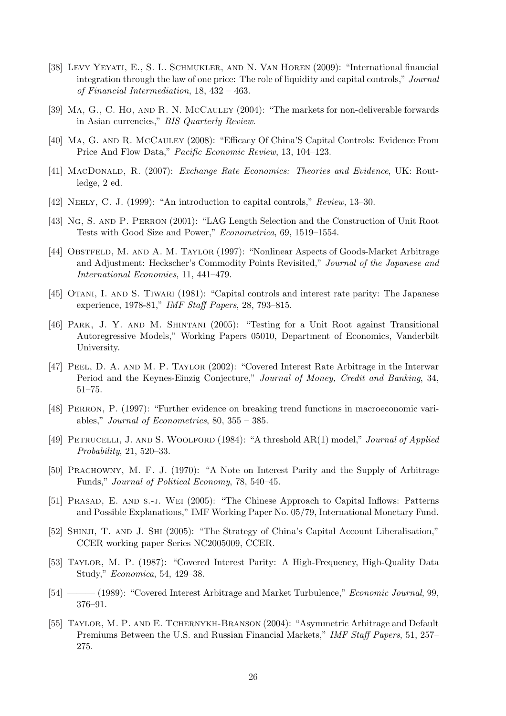- <span id="page-26-9"></span>[38] Levy Yeyati, E., S. L. Schmukler, and N. Van Horen (2009): "International financial integration through the law of one price: The role of liquidity and capital controls," Journal of Financial Intermediation, 18, 432 – 463.
- <span id="page-26-4"></span>[39] Ma, G., C. Ho, and R. N. McCauley (2004): "The markets for non-deliverable forwards in Asian currencies," BIS Quarterly Review.
- <span id="page-26-3"></span>[40] Ma, G. and R. McCauley (2008): "Efficacy Of China'S Capital Controls: Evidence From Price And Flow Data," Pacific Economic Review, 13, 104–123.
- <span id="page-26-8"></span>[41] MACDONALD, R. (2007): Exchange Rate Economics: Theories and Evidence, UK: Routledge, 2 ed.
- <span id="page-26-0"></span>[42] NEELY, C. J. (1999): "An introduction to capital controls," Review, 13–30.
- <span id="page-26-10"></span>[43] Ng, S. and P. Perron (2001): "LAG Length Selection and the Construction of Unit Root Tests with Good Size and Power," Econometrica, 69, 1519–1554.
- <span id="page-26-7"></span>[44] OBSTFELD, M. AND A. M. TAYLOR (1997): "Nonlinear Aspects of Goods-Market Arbitrage and Adjustment: Heckscher's Commodity Points Revisited," Journal of the Japanese and International Economies, 11, 441–479.
- <span id="page-26-2"></span>[45] Otani, I. and S. Tiwari (1981): "Capital controls and interest rate parity: The Japanese experience, 1978-81," IMF Staff Papers, 28, 793–815.
- <span id="page-26-11"></span>[46] PARK, J. Y. AND M. SHINTANI (2005): "Testing for a Unit Root against Transitional Autoregressive Models," Working Papers 05010, Department of Economics, Vanderbilt University.
- <span id="page-26-5"></span>[47] PEEL, D. A. AND M. P. TAYLOR (2002): "Covered Interest Rate Arbitrage in the Interwar Period and the Keynes-Einzig Conjecture," Journal of Money, Credit and Banking, 34, 51–75.
- <span id="page-26-12"></span>[48] Perron, P. (1997): "Further evidence on breaking trend functions in macroeconomic variables," Journal of Econometrics, 80, 355 – 385.
- [49] PETRUCELLI, J. AND S. WOOLFORD (1984): "A threshold AR(1) model," Journal of Applied Probability, 21, 520–33.
- [50] Prachowny, M. F. J. (1970): "A Note on Interest Parity and the Supply of Arbitrage Funds," Journal of Political Economy, 78, 540–45.
- <span id="page-26-13"></span>[51] Prasad, E. and s.-j. Wei (2005): "The Chinese Approach to Capital Inflows: Patterns and Possible Explanations," IMF Working Paper No. 05/79, International Monetary Fund.
- <span id="page-26-1"></span>[52] SHINJI, T. AND J. SHI (2005): "The Strategy of China's Capital Account Liberalisation," CCER working paper Series NC2005009, CCER.
- [53] Taylor, M. P. (1987): "Covered Interest Parity: A High-Frequency, High-Quality Data Study," Economica, 54, 429–38.
- [54] ——— (1989): "Covered Interest Arbitrage and Market Turbulence," Economic Journal, 99, 376–91.
- <span id="page-26-6"></span>[55] TAYLOR, M. P. AND E. TCHERNYKH-BRANSON  $(2004)$ : "Asymmetric Arbitrage and Default Premiums Between the U.S. and Russian Financial Markets," IMF Staff Papers, 51, 257– 275.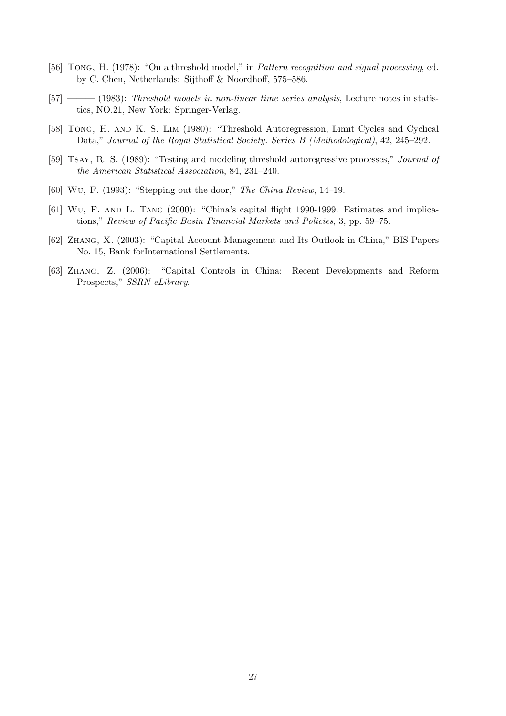- [56] TONG, H. (1978): "On a threshold model," in *Pattern recognition and signal processing*, ed. by C. Chen, Netherlands: Sijthoff & Noordhoff, 575–586.
- <span id="page-27-2"></span>[57] ——— (1983): Threshold models in non-linear time series analysis, Lecture notes in statistics, NO.21, New York: Springer-Verlag.
- <span id="page-27-1"></span>[58] Tong, H. and K. S. Lim (1980): "Threshold Autoregression, Limit Cycles and Cyclical Data," Journal of the Royal Statistical Society. Series B (Methodological), 42, 245–292.
- <span id="page-27-3"></span>[59] Tsay, R. S. (1989): "Testing and modeling threshold autoregressive processes," Journal of the American Statistical Association, 84, 231–240.
- <span id="page-27-5"></span>[60] Wu, F. (1993): "Stepping out the door," The China Review, 14–19.
- <span id="page-27-6"></span>[61] Wu, F. and L. Tang (2000): "China's capital flight 1990-1999: Estimates and implications," Review of Pacific Basin Financial Markets and Policies, 3, pp. 59–75.
- <span id="page-27-4"></span>[62] Zhang, X. (2003): "Capital Account Management and Its Outlook in China," BIS Papers No. 15, Bank forInternational Settlements.
- <span id="page-27-0"></span>[63] Zhang, Z. (2006): "Capital Controls in China: Recent Developments and Reform Prospects," SSRN eLibrary.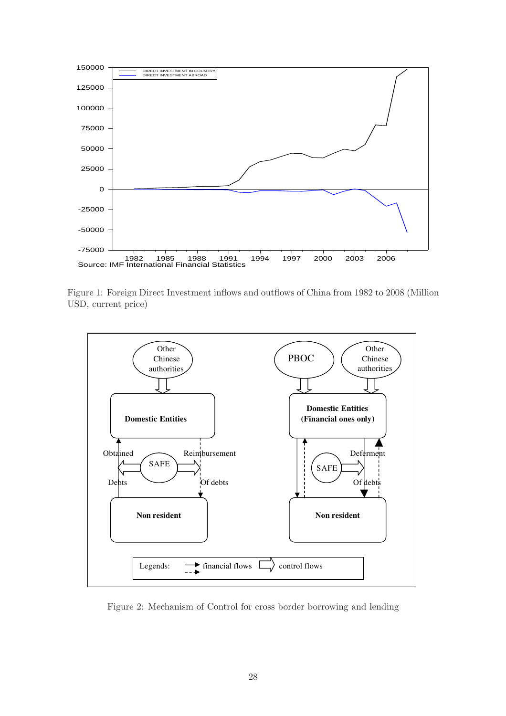

<span id="page-28-0"></span>Figure 1: Foreign Direct Investment inflows and outflows of China from 1982 to 2008 (Million USD, current price)



Figure 2: Mechanism of Control for cross border borrowing and lending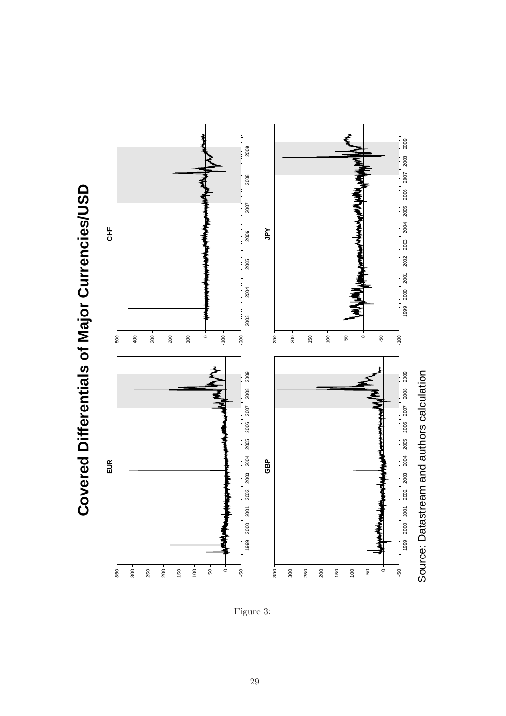**Covered Differentials of Major Currencies/USD Covered Differentials of Major Currencies/USD**



<span id="page-29-0"></span>Figure 3: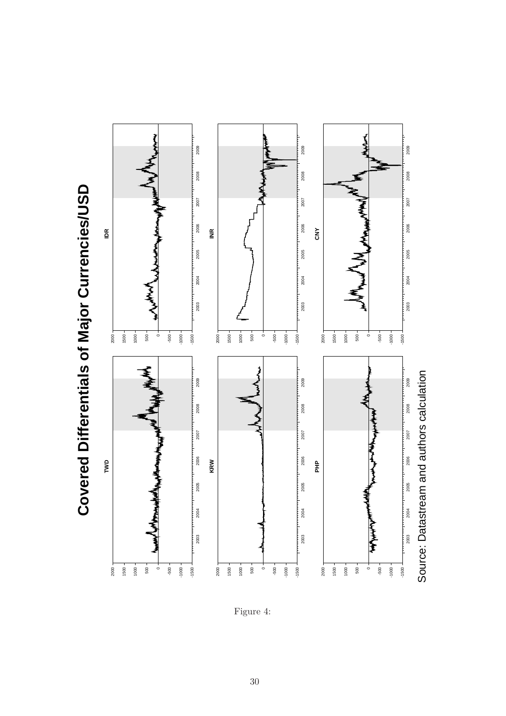



<span id="page-30-0"></span>Figure 4: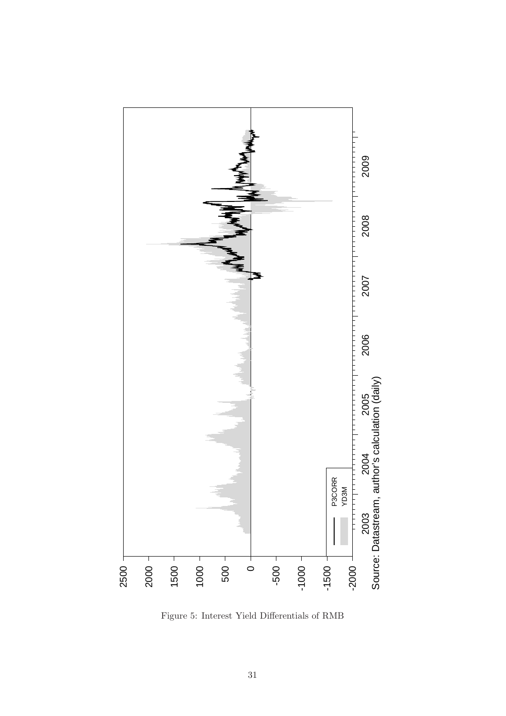

<span id="page-31-0"></span>Figure 5: Interest Yield Differentials of RMB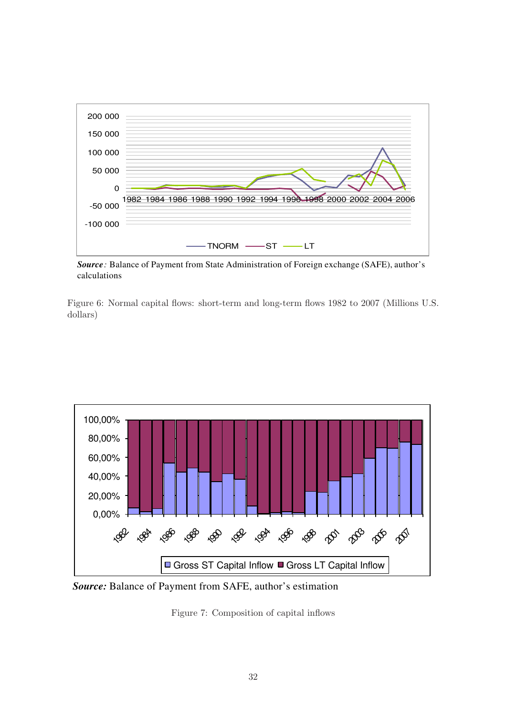

 *Source:* Balance of Payment from State Administration of Foreign exchange (SAFE), author's calculations

<span id="page-32-0"></span>Figure 6: Normal capital flows: short-term and long-term flows 1982 to 2007 (Millions U.S. dollars)



*Source:* Balance of Payment from SAFE, author's estimation

<span id="page-32-1"></span>Figure 7: Composition of capital inflows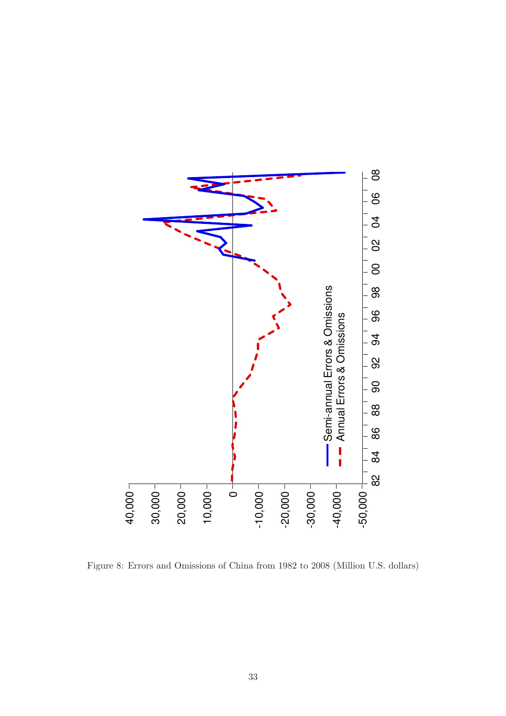

<span id="page-33-0"></span>Figure 8: Errors and Omissions of China from 1982 to 2008 (Million U.S. dollars)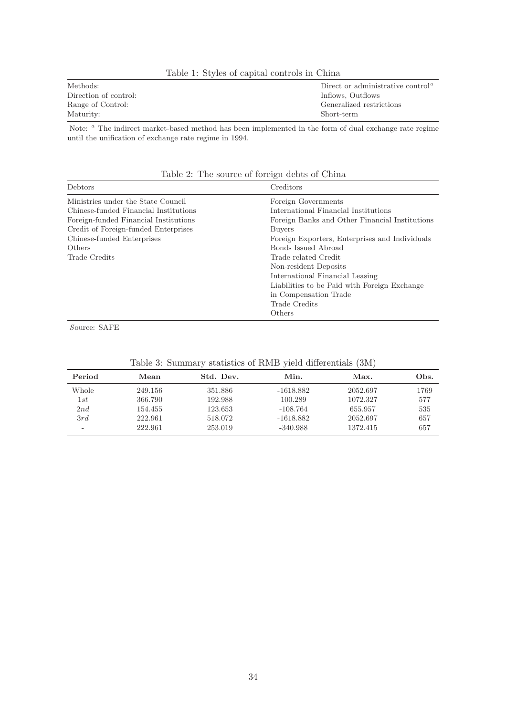| Methods:              | Direct or administrative control <sup><math>a</math></sup> |
|-----------------------|------------------------------------------------------------|
| Direction of control: | Inflows, Outflows                                          |
| Range of Control:     | Generalized restrictions                                   |
| Maturity:             | Short-term                                                 |

Table 1: Styles of capital controls in China

Note: <sup>a</sup> The indirect market-based method has been implemented in the form of dual exchange rate regime until the unification of exchange rate regime in 1994.

| Debtors                               | $\smash{\smash{\cup}}$<br>Creditors            |
|---------------------------------------|------------------------------------------------|
| Ministries under the State Council    | Foreign Governments                            |
| Chinese-funded Financial Institutions | International Financial Institutions           |
| Foreign-funded Financial Institutions | Foreign Banks and Other Financial Institutions |
| Credit of Foreign-funded Enterprises  | <b>Buvers</b>                                  |
| Chinese-funded Enterprises            | Foreign Exporters, Enterprises and Individuals |
| Others                                | Bonds Issued Abroad                            |
| Trade Credits                         | Trade-related Credit                           |
|                                       | Non-resident Deposits                          |
|                                       | International Financial Leasing                |
|                                       | Liabilities to be Paid with Foreign Exchange   |
|                                       | in Compensation Trade                          |
|                                       | Trade Credits                                  |
|                                       | Others                                         |

Table 2: The source of foreign debts of China

Source: SAFE

| Period | Mean    | Std. Dev. | Min.        | Max.     | Obs. |
|--------|---------|-----------|-------------|----------|------|
| Whole  | 249.156 | 351.886   | $-1618.882$ | 2052.697 | 1769 |
| 1st    | 366.790 | 192.988   | 100.289     | 1072.327 | 577  |
| 2nd    | 154.455 | 123.653   | $-108.764$  | 655.957  | 535  |
| 3rd    | 222.961 | 518.072   | $-1618.882$ | 2052.697 | 657  |
| -      | 222.961 | 253.019   | $-340.988$  | 1372.415 | 657  |

<span id="page-34-0"></span>Table 3: Summary statistics of RMB yield differentials (3M)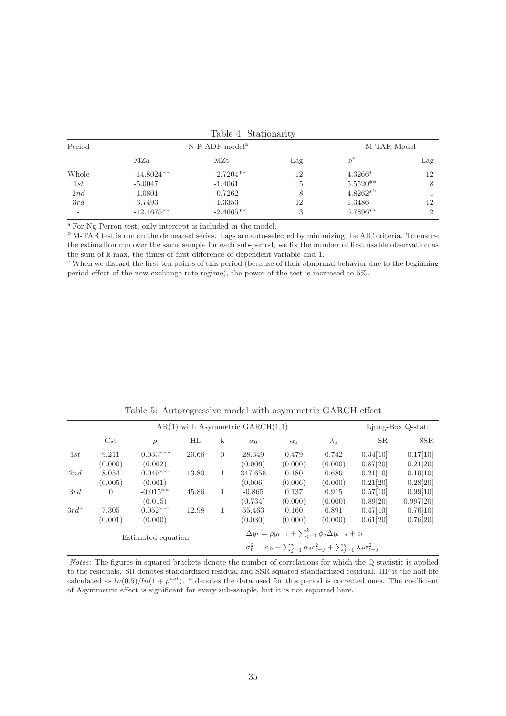| Period |              | $N-P$ ADF model <sup>a</sup> |     | M-TAR Model   |              |
|--------|--------------|------------------------------|-----|---------------|--------------|
|        | MZa          | MZt                          | Lag | Ф             | $_{\rm Lag}$ |
| Whole  | $-14.8024**$ | $-2.7204**$                  | 12  | $4.3266*$     | 12           |
| 1st    | $-5.0047$    | $-1.4061$                    | Ð   | $5.5520**$    |              |
| 2nd    | $-1.0801$    | $-0.7262$                    |     | $4.8262*^{b}$ |              |
| 3rd    | $-3.7493$    | $-1.3353$                    | 12  | 1.3486        | 12           |
| -      | $-12.1675**$ | $-2.4665**$                  | ๑   | $6.7896**$    |              |

|  | Table 4: Stationarity |
|--|-----------------------|
|--|-----------------------|

<sup>a</sup> For Ng-Perron test, only intercept is included in the model.

<sup>b</sup> M-TAR test is run on the demeaned series. Lags are auto-selected by minimizing the AIC criteria. To ensure the estimation run over the same sample for each sub-period, we fix the number of first usable observation as the sum of k-max, the times of first difference of dependent variable and 1.

<sup>c</sup> When we discard the first ten points of this period (because of their abnormal behavior due to the beginning period effect of the new exchange rate regime), the power of the test is increased to 5%.

|         |                  |                        |       |                                                                               | $AR(1)$ with Asymmetric $GARCH(1,1)$ |                                                                                                          |                  |                      | Ljung-Box Q-stat.     |
|---------|------------------|------------------------|-------|-------------------------------------------------------------------------------|--------------------------------------|----------------------------------------------------------------------------------------------------------|------------------|----------------------|-----------------------|
|         | $\mathrm{Cst}$   | $\rho$                 | HL    | k                                                                             | $\alpha_0$                           | $\alpha_1$                                                                                               | $\lambda_1$      | SR.                  | <b>SSR</b>            |
| 1st     | 9.211<br>(0.000) | $-0.033***$<br>(0.002) | 20.66 | $\overline{0}$                                                                | 28.349<br>(0.006)                    | 0.479<br>(0.000)                                                                                         | 0.742<br>(0.000) | 0.34[10]<br>0.87[20] | 0.17[10]<br>0.21[20]  |
| 2nd     | 8.054<br>(0.005) | $-0.049***$<br>(0.001) | 13.80 | 1                                                                             | 347.656<br>(0.006)                   | 0.180<br>(0.006)                                                                                         | 0.689<br>(0.000) | 0.21[10]<br>0.21[20] | 0.19[10]<br>0.28[20]  |
| 3rd     | $\Omega$         | $-0.015**$<br>(0.015)  | 45.86 | 1                                                                             | $-0.865$<br>(0.734)                  | 0.137<br>(0.000)                                                                                         | 0.915<br>(0.000) | 0.57[10]<br>0.89[20] | 0.99[10]<br>0.997[20] |
| $3rd^*$ | 7.305<br>(0.001) | $-0.052***$<br>(0.000) | 12.98 | 1                                                                             | 55.463<br>(0.030)                    | 0.160<br>(0.000)                                                                                         | 0.891<br>(0.000) | 0.47[10]<br>0.61[20] | 0.76[10]<br>0.76[20]  |
|         |                  | Estimated equation:    |       | $\Delta y_t = \rho y_{t-1} + \sum_{j=1}^k \phi_j \Delta y_{t-j} + \epsilon_t$ |                                      |                                                                                                          |                  |                      |                       |
|         |                  |                        |       |                                                                               |                                      | $\sigma_t^2 = \alpha_0 + \sum_{i=1}^p \alpha_i \epsilon_{t-j}^2 + \sum_{i=1}^q \lambda_i \sigma_{t-j}^2$ |                  |                      |                       |

<span id="page-35-0"></span>Table 5: Autoregressive model with asymmetric GARCH effect

Notes: The figures in squared brackets denote the number of correlations for which the Q-statistic is applied to the residuals. SR denotes standardized residual and SSR squared standardized residual. HF is the half-life calculated as  $ln(0.5)/ln(1 + \rho^{out})$ . \* denotes the data used for this period is corrected ones. The coefficient of Asymmetric effect is significant for every sub-sample, but it is not reported here.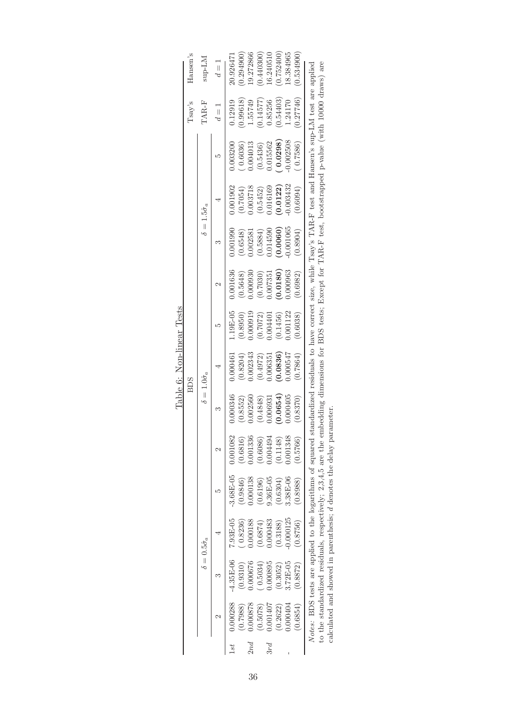|     |          |               |                            |                                                                                                                                                                     |          |                            | <b>BDS</b> |           |          |          |                              |                                                                                                          | Tsay's      | Hansen's  |
|-----|----------|---------------|----------------------------|---------------------------------------------------------------------------------------------------------------------------------------------------------------------|----------|----------------------------|------------|-----------|----------|----------|------------------------------|----------------------------------------------------------------------------------------------------------|-------------|-----------|
|     |          |               | $\delta=0.5\hat{\sigma}_a$ |                                                                                                                                                                     |          | $\delta=1.0\hat{\sigma}_a$ |            |           |          |          | $\delta = 1.5\hat{\sigma}_a$ |                                                                                                          | TAR-F       | $M1$ -qus |
|     |          |               |                            | ۲.                                                                                                                                                                  |          |                            |            |           |          |          |                              | Σ٢                                                                                                       | $d\equiv 1$ | $d=1$     |
| š   | 0.000288 | $-4.35E - 06$ | 7.93E-05                   | $-3.68E - 05$                                                                                                                                                       | 0.001082 | 000346.                    | 0000461    | $.19E-05$ | 0.001636 | 0.001990 | 0.001902                     | 003200.                                                                                                  | 1.12919     | 20.92647  |
|     | 0.7988   | (0.9310)      | 0.8236                     | 0.9846                                                                                                                                                              | (0.6816) | 0.8552                     | 0.8204     | 0.8950    | 0.5648   | (0.6548) | (0.7054)                     | 0.6036                                                                                                   | 0.99618     | 0.294900  |
| 2nd | 1.000878 | 1.000676      | .000188                    | 0.000138                                                                                                                                                            | 0.01336  | .002560                    | 0.02343    | 0.000919  | 0.000930 | 0.002581 | 0.03718                      | 0.004013                                                                                                 | 1.55749     | 19.272866 |
|     | 0.5078)  | 0.5034        | (6.6874)                   | 0.6196)                                                                                                                                                             | (0.6086) | 0.4848                     | 0.4972     | 0.7072    | (0.7030) | 0.5884   | (0.5452)                     | (0.5436)                                                                                                 | 0.14577     | 0.440300  |
| 3rd | 0.001407 | 0.000895      | 0.000483                   | $9.36E - 05$                                                                                                                                                        | 1.004494 | 0.006931                   | 1.006351   | 1.00440   | 1.007351 | 0.014590 | 0.016169                     | 0.15562                                                                                                  | 0.85256     | 16.240510 |
|     | 0.2622)  | 0.3052)       | (0.3188)                   | (0.6304)                                                                                                                                                            | (0.1148) | 0.0654                     | 0.0836     | 0.1456    | 0.0180)  | 0.0060   | (0.0122)                     | 0.0298                                                                                                   | 0.54403     | 0.752400  |
|     | 0000404. | 3.72E-05      | 0.000125                   | 3.38E-06                                                                                                                                                            | 0.001348 | 1.000405                   | 756000.    | .001122   | 1.000963 | 0.001065 | 0.003432                     | 0.002508                                                                                                 | 1.24170     | 8.384965  |
|     | 0.6854)  | 0.8872        | (0.8756)                   | (0.8988)                                                                                                                                                            | (0.5766) | 0.8370)                    | 0.7864     | 0.6038    | 0.6982   | 0.8904)  | (0.6094)                     | 0.7586                                                                                                   | 0.27746     | 0.534900  |
|     |          |               |                            | Notes: BDS tests are applied to the logarithms of squared st                                                                                                        |          |                            |            |           |          |          |                              | tandardized residuals to have correct size, while Tsay's TAR-F test and Hansen's sup-LM test are applice |             |           |
|     |          |               |                            | to the standardized residuals, respectively; 2,3,4,5 are the embedding dimensions for BDS tests; Except for TAR-F test, bootstrapped p-value (with 10000 draws) are |          |                            |            |           |          |          |                              |                                                                                                          |             |           |
|     |          |               |                            | calculated and showed in parenthesis; d denotes the delay parameter                                                                                                 |          |                            |            |           |          |          |                              |                                                                                                          |             |           |

| sts<br>Ĕ       |  |
|----------------|--|
| near<br>م<br>م |  |
| ٢<br>نۍ        |  |
| $[\text{lab}]$ |  |

36

<span id="page-36-0"></span>calculated and showed in parenthesis; d denotes the delay parameter.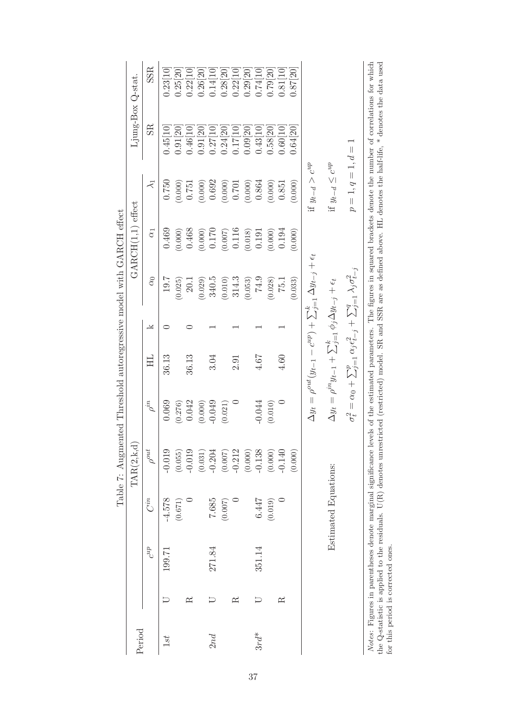|         |           |                                    |                      | Tanis I Trumper Ministration of the Street Control of the Street And I Street And Allie I Street And A<br>$\mathrm{TAR}(2,\mathrm{k},\mathrm{d})$ |             |                                                                                    |   |                                                                                                          | GARCH(1,1) effect |                          |                                                                                                                                                                                                                                                                                                                                                               | Ljung-Box Q-stat. |
|---------|-----------|------------------------------------|----------------------|---------------------------------------------------------------------------------------------------------------------------------------------------|-------------|------------------------------------------------------------------------------------|---|----------------------------------------------------------------------------------------------------------|-------------------|--------------------------|---------------------------------------------------------------------------------------------------------------------------------------------------------------------------------------------------------------------------------------------------------------------------------------------------------------------------------------------------------------|-------------------|
| Period  |           | $c^{up}$                           | $C^{in}$             | $\rho^{out}$                                                                                                                                      | $\rho^{in}$ | HL                                                                                 | Y | $\alpha_0$                                                                                               | $\alpha_1$        | $\prec$                  | $_{\rm SR}$                                                                                                                                                                                                                                                                                                                                                   | SSR               |
| 1st     |           | 199.71                             | $-4.578$             | $-0.019$                                                                                                                                          | 0.069       | 36.13                                                                              | ⊂ | 19.7                                                                                                     | 0.469             | 0.750                    | 0.45[10]                                                                                                                                                                                                                                                                                                                                                      | 0.23[10]          |
|         |           |                                    | (0.671)              | (0.055)                                                                                                                                           | (0.276)     |                                                                                    |   | (0.025)                                                                                                  | (0.000)           | (0.000)                  | 0.91[20]                                                                                                                                                                                                                                                                                                                                                      | 0.25[20]          |
|         | ≃         |                                    |                      | $-0.019$                                                                                                                                          | 0.042       | 36.13                                                                              | ⊂ | 20.1                                                                                                     | 0.468             | 0.751                    | 0.46[10]                                                                                                                                                                                                                                                                                                                                                      | 0.22[10]          |
|         |           |                                    |                      | (0.031)                                                                                                                                           | (0.000)     |                                                                                    |   | (0.029)                                                                                                  | (0.000)           | (0.000)                  | 0.91[20]                                                                                                                                                                                                                                                                                                                                                      | 0.26 20           |
| 2nd     |           | 271.84                             | 7.685                | $-0.204$                                                                                                                                          | $-0.049$    | 3.04                                                                               |   | 340.5                                                                                                    | 0.170             | 0.692                    | 0.2710                                                                                                                                                                                                                                                                                                                                                        | 0.14 10           |
|         |           |                                    | (0.007)              | (0.007)                                                                                                                                           | (0.021)     |                                                                                    |   | (0.010)                                                                                                  | (0.007)           | (0.000)                  | 0.24 20                                                                                                                                                                                                                                                                                                                                                       | 0.28 20           |
|         | $\approx$ |                                    |                      | $-0.212$                                                                                                                                          |             | 2.91                                                                               |   | 314.3                                                                                                    | 0.116             | 0.701                    | 0.1710                                                                                                                                                                                                                                                                                                                                                        | 0.22[10]          |
|         |           |                                    |                      | (0.000)                                                                                                                                           |             |                                                                                    |   | (0.053)                                                                                                  | (0.018)           | (0.000)                  | 0.09 20                                                                                                                                                                                                                                                                                                                                                       | 0.29 20           |
| $3rd^*$ |           | 351.14                             | 6.447                | $-0.138$                                                                                                                                          | $-0.044$    | 4.67                                                                               |   | 74.9                                                                                                     | 0.191             | 0.864                    | 0.43[10]                                                                                                                                                                                                                                                                                                                                                      | 0.74[10]          |
|         |           |                                    | (0.019)              | (0.000)                                                                                                                                           | (0.010)     |                                                                                    |   | (0.028)                                                                                                  | (0.000)           | (0.000)                  | 0.58[20]                                                                                                                                                                                                                                                                                                                                                      | 0.79 20           |
|         | $\approx$ |                                    |                      | $-0.140$                                                                                                                                          |             | 4.60                                                                               |   | <b>75.1</b>                                                                                              | 0.194             | 0.851                    | 0.60 10                                                                                                                                                                                                                                                                                                                                                       | 0.81[10]          |
|         |           |                                    |                      | (0.000)                                                                                                                                           |             |                                                                                    |   | (0.033)                                                                                                  | (0.000)           | (0.000)                  | 0.64 20]                                                                                                                                                                                                                                                                                                                                                      | 0.87 20           |
|         |           |                                    |                      |                                                                                                                                                   |             |                                                                                    |   | $\Delta y_t = \rho^{out}(y_{t-1} - c^{up}) + \sum_{j=1}^k \Delta y_{t-j} + \epsilon_t$                   |                   | if $y_{t-d} > c^{up}$    |                                                                                                                                                                                                                                                                                                                                                               |                   |
|         |           |                                    | Estimated Equations: |                                                                                                                                                   |             | $\Delta y_t = \rho^{in} y_{t-1} + \sum_{j=1}^k \phi_j \Delta y_{t-j} + \epsilon_t$ |   |                                                                                                          |                   | if $y_{t-d} \leq c^{up}$ |                                                                                                                                                                                                                                                                                                                                                               |                   |
|         |           |                                    |                      |                                                                                                                                                   |             |                                                                                    |   | $\sigma_t^2 = \alpha_0 + \sum_{j=1}^p \alpha_j \epsilon_{t-j}^2 + \sum_{j=1}^q \lambda_j \sigma_{t-j}^2$ |                   | $p = 1, q = 1, d = 1$    |                                                                                                                                                                                                                                                                                                                                                               |                   |
|         |           | for this period is corrected ones. |                      |                                                                                                                                                   |             |                                                                                    |   |                                                                                                          |                   |                          | Notes: Figures in parentheses denote marginal significance levels of the estimated parameters. The figures in squared brackets denote the number of correlations for which<br>the Q-statistic is applied to the residuals. U(R) denotes unrestricted (restricted) model. SR and SSR are as defined above. HL denotes the half-life, $*$ denotes the data used |                   |

<span id="page-37-0"></span>Table 7: Anomented Threshold autoregressive model with GARCH effect Table 7: Augmented Threshold autoregressive model with GARCH effect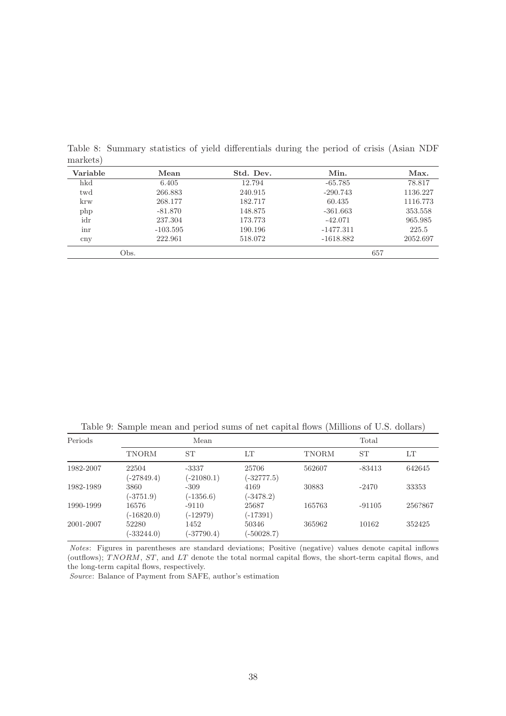| Variable | Mean       | Std. Dev. | Min.        | Max.     |
|----------|------------|-----------|-------------|----------|
| hkd      | 6.405      | 12.794    | $-65.785$   | 78.817   |
| twd      | 266.883    | 240.915   | $-290.743$  | 1136.227 |
| krw      | 268.177    | 182.717   | 60.435      | 1116.773 |
| php      | $-81.870$  | 148.875   | $-361.663$  | 353.558  |
| idr      | 237.304    | 173.773   | $-42.071$   | 965.985  |
| inr      | $-103.595$ | 190.196   | $-1477.311$ | 225.5    |
| cnv      | 222.961    | 518.072   | $-1618.882$ | 2052.697 |
|          | Obs.       |           | 657         |          |

<span id="page-38-0"></span>Table 8: Summary statistics of yield differentials during the period of crisis (Asian NDF markets)

<span id="page-38-1"></span>Table 9: Sample mean and period sums of net capital flows (Millions of U.S. dollars)

| Periods   |                       | Mean                    |                       |        | Total     |         |
|-----------|-----------------------|-------------------------|-----------------------|--------|-----------|---------|
|           | TNORM                 | <b>ST</b>               | LТ                    | TNORM  | <b>ST</b> | LT      |
| 1982-2007 | 22504<br>$(-27849.4)$ | $-3337$<br>$(-21080.1)$ | 25706<br>$(-32777.5)$ | 562607 | $-83413$  | 642645  |
| 1982-1989 | 3860<br>$(-3751.9)$   | $-309$<br>$(-1356.6)$   | 4169<br>$(-3478.2)$   | 30883  | $-2470$   | 33353   |
| 1990-1999 | 16576<br>$(-16820.0)$ | $-9110$<br>$(-12979)$   | 25687<br>$(-17391)$   | 165763 | $-91105$  | 256?867 |
| 2001-2007 | 52280<br>$(-33244.0)$ | 1452<br>$(-37790.4)$    | 50346<br>$(-50028.7)$ | 365962 | 10162     | 352425  |

Notes: Figures in parentheses are standard deviations; Positive (negative) values denote capital inflows (outflows); TNORM, ST, and LT denote the total normal capital flows, the short-term capital flows, and the long-term capital flows, respectively.

Source: Balance of Payment from SAFE, author's estimation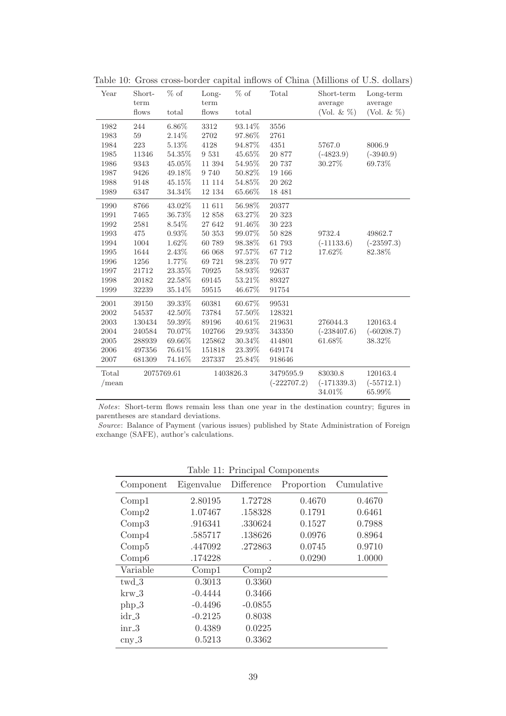<span id="page-39-0"></span>

| Year              | Short-<br>term | $%$ of     | Long-<br>term | $%$ of    | Total                      | Short-term<br>average              | $Long-term$<br>average             |
|-------------------|----------------|------------|---------------|-----------|----------------------------|------------------------------------|------------------------------------|
|                   | flows          | total      | flows         | total     |                            | (Vol. & $%$ )                      | (Vol. & $\%$ )                     |
| 1982              | 244            | 6.86%      | 3312          | $93.14\%$ | 3556                       |                                    |                                    |
| 1983              | 59             | 2.14\%     | 2702          | 97.86%    | 2761                       |                                    |                                    |
| 1984              | 223            | 5.13%      | 4128          | 94.87%    | 4351                       | 5767.0                             | 8006.9                             |
| 1985              | 11346          | 54.35%     | 9 5 3 1       | 45.65%    | 20 877                     | $(-4823.9)$                        | $(-3940.9)$                        |
| 1986              | 9343           | 45.05%     | 11 394        | 54.95%    | 20 737                     | 30.27%                             | 69.73%                             |
| 1987              | 9426           | 49.18%     | 9 740         | 50.82%    | 19 166                     |                                    |                                    |
| 1988              | 9148           | 45.15%     | 11 114        | 54.85%    | 20 262                     |                                    |                                    |
| 1989              | 6347           | 34.34%     | 12 134        | 65.66%    | 18 481                     |                                    |                                    |
| 1990              | 8766           | 43.02%     | 11 611        | $56.98\%$ | 20377                      |                                    |                                    |
| 1991              | 7465           | 36.73%     | 12 858        | 63.27%    | 20 323                     |                                    |                                    |
| 1992              | 2581           | 8.54%      | 27 642        | 91.46%    | 30 223                     |                                    |                                    |
| 1993              | $475\,$        | 0.93%      | 50 353        | 99.07%    | 50 828                     | 9732.4                             | 49862.7                            |
| 1994              | 1004           | 1.62%      | 60 789        | 98.38%    | 61 793                     | $(-11133.6)$                       | $(-23597.3)$                       |
| 1995              | 1644           | 2.43%      | 66 068        | 97.57%    | 67 712                     | 17.62%                             | 82.38%                             |
| 1996              | 1256           | 1.77%      | 69 721        | 98.23%    | 70 977                     |                                    |                                    |
| 1997              | 21712          | 23.35%     | 70925         | 58.93%    | 92637                      |                                    |                                    |
| 1998              | 20182          | 22.58%     | 69145         | 53.21%    | 89327                      |                                    |                                    |
| 1999              | 32239          | 35.14%     | 59515         | 46.67%    | 91754                      |                                    |                                    |
| 2001              | 39150          | 39.33%     | 60381         | 60.67%    | 99531                      |                                    |                                    |
| 2002              | 54537          | 42.50%     | 73784         | 57.50%    | 128321                     |                                    |                                    |
| 2003              | 130434         | 59.39%     | 89196         | 40.61%    | 219631                     | 276044.3                           | 120163.4                           |
| 2004              | 240584         | 70.07%     | 102766        | 29.93%    | 343350                     | $(-238407.6)$                      | $(-60208.7)$                       |
| 2005              | 288939         | 69.66%     | 125862        | 30.34%    | 414801                     | 61.68%                             | 38.32%                             |
| 2006              | 497356         | 76.61%     | 151818        | 23.39%    | 649174                     |                                    |                                    |
| 2007              | 681309         | 74.16%     | 237337        | 25.84%    | 918646                     |                                    |                                    |
| Total<br>$/$ mean |                | 2075769.61 |               | 1403826.3 | 3479595.9<br>$(-222707.2)$ | 83030.8<br>$(-171339.3)$<br>34.01% | 120163.4<br>$(-55712.1)$<br>65.99% |

Table 10: Gross cross-border capital inflows of China (Millions of U.S. dollars)

Notes: Short-term flows remain less than one year in the destination country; figures in parentheses are standard deviations.

Source: Balance of Payment (various issues) published by State Administration of Foreign exchange (SAFE), author's calculations.

|                  |            | rable 11. I Hiltipal Components |            |            |
|------------------|------------|---------------------------------|------------|------------|
| Component        | Eigenvalue | Difference                      | Proportion | Cumulative |
| Compl            | 2.80195    | 1.72728                         | 0.4670     | 0.4670     |
| Comp2            | 1.07467    | .158328                         | 0.1791     | 0.6461     |
| Comp3            | .916341    | .330624                         | 0.1527     | 0.7988     |
| Comp4            | .585717    | .138626                         | 0.0976     | 0.8964     |
| Comp5            | .447092    | .272863                         | 0.0745     | 0.9710     |
| Comp6            | .174228    |                                 | 0.0290     | 1.0000     |
| Variable         | Comp1      | Comp2                           |            |            |
| $twd_3$          | 0.3013     | 0.3360                          |            |            |
| $krw_3$          | $-0.4444$  | 0.3466                          |            |            |
| $php_3$          | $-0.4496$  | $-0.0855$                       |            |            |
| $idr_3$          | $-0.2125$  | 0.8038                          |            |            |
| $inr_3$          | 0.4389     | 0.0225                          |            |            |
| $\mathrm{cny}.3$ | 0.5213     | 0.3362                          |            |            |
|                  |            |                                 |            |            |

Table 11: Principal Components